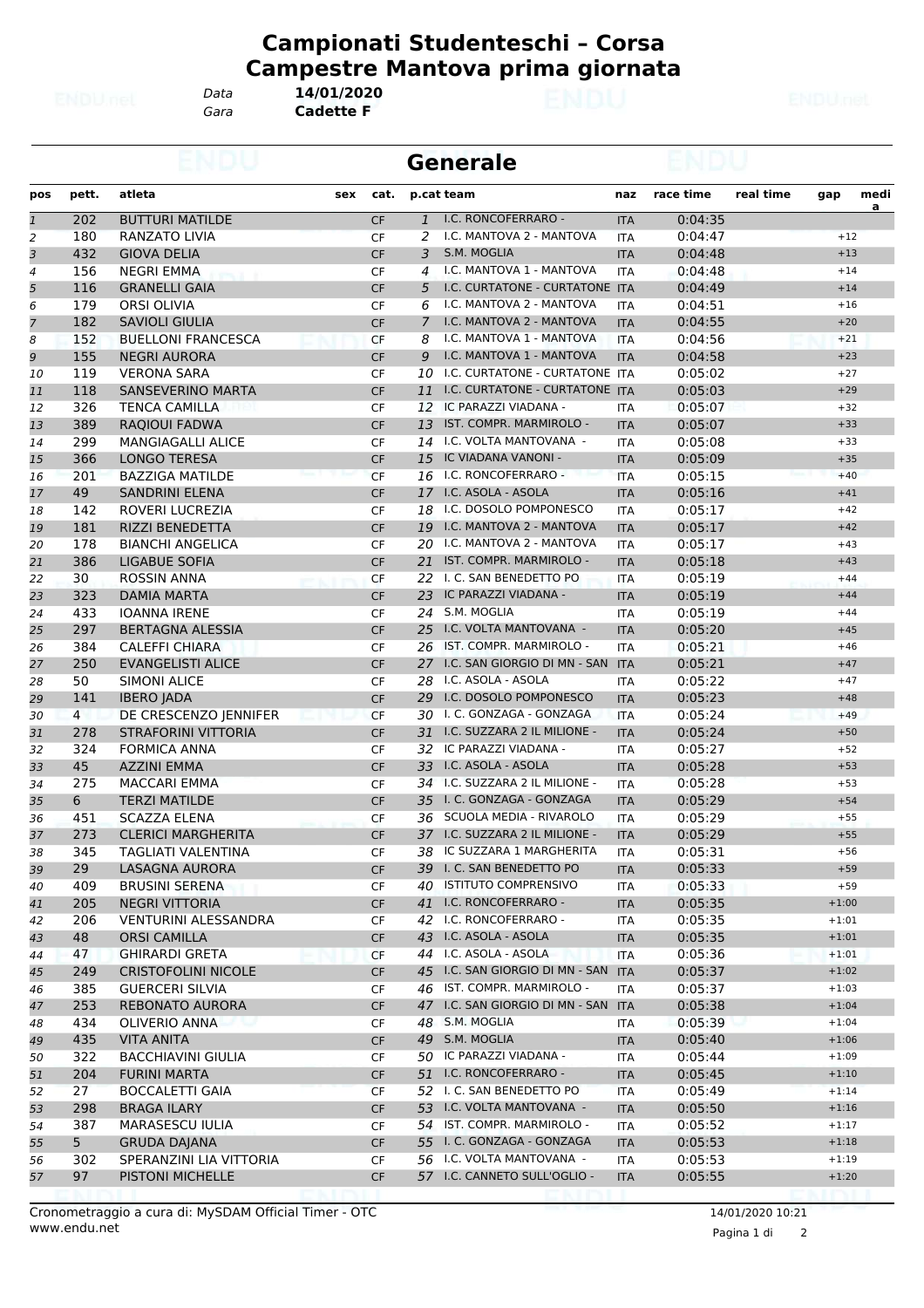*Gara* **Cadette F** *Data* **14/01/2020**

**Generale**

| pos          | pett.          | atleta                      | sex | cat.      |               | p.cat team                        | naz        | race time | real time | gap     | medi<br>$\overline{a}$ |
|--------------|----------------|-----------------------------|-----|-----------|---------------|-----------------------------------|------------|-----------|-----------|---------|------------------------|
| $\mathbf{1}$ | 202            | <b>BUTTURI MATILDE</b>      |     | <b>CF</b> |               | 1 I.C. RONCOFERRARO -             | <b>ITA</b> | 0:04:35   |           |         |                        |
| 2            | 180            | <b>RANZATO LIVIA</b>        |     | <b>CF</b> | 2             | I.C. MANTOVA 2 - MANTOVA          | <b>ITA</b> | 0:04:47   |           | $+12$   |                        |
| 3            | 432            | <b>GIOVA DELIA</b>          |     | CF        | 3             | S.M. MOGLIA                       | <b>ITA</b> | 0:04:48   |           | $+13$   |                        |
| 4            | 156            | <b>NEGRI EMMA</b>           |     | <b>CF</b> | 4             | I.C. MANTOVA 1 - MANTOVA          | <b>ITA</b> | 0:04:48   |           | $+14$   |                        |
| 5            | 116            | <b>GRANELLI GAIA</b>        |     | <b>CF</b> | 5             | I.C. CURTATONE - CURTATONE ITA    |            | 0:04:49   |           | $+14$   |                        |
| 6            | 179            | <b>ORSI OLIVIA</b>          |     | <b>CF</b> | 6             | I.C. MANTOVA 2 - MANTOVA          | <b>ITA</b> | 0:04:51   |           | $+16$   |                        |
| 7            | 182            | <b>SAVIOLI GIULIA</b>       |     | <b>CF</b> | $\mathcal{I}$ | I.C. MANTOVA 2 - MANTOVA          | <b>ITA</b> | 0:04:55   |           | $+20$   |                        |
| 8            | 152            | <b>BUELLONI FRANCESCA</b>   |     | CF        | 8             | I.C. MANTOVA 1 - MANTOVA          | <b>ITA</b> | 0:04:56   |           | $+21$   |                        |
| 9            | 155            | <b>NEGRI AURORA</b>         |     | CF        | 9             | I.C. MANTOVA 1 - MANTOVA          | <b>ITA</b> | 0:04:58   |           | $+23$   |                        |
| 10           | 119            | <b>VERONA SARA</b>          |     | <b>CF</b> | 10            | I.C. CURTATONE - CURTATONE ITA    |            | 0:05:02   |           | $+27$   |                        |
| 11           | 118            | <b>SANSEVERINO MARTA</b>    |     | <b>CF</b> |               | 11 I.C. CURTATONE - CURTATONE ITA |            | 0:05:03   |           | $+29$   |                        |
| 12           | 326            | <b>TENCA CAMILLA</b>        |     | <b>CF</b> |               | 12 IC PARAZZI VIADANA -           | <b>ITA</b> | 0:05:07   |           | $+32$   |                        |
| 13           | 389            | RAQIOUI FADWA               |     | CF        | 13            | IST. COMPR. MARMIROLO -           | <b>ITA</b> | 0:05:07   |           | $+33$   |                        |
| 14           | 299            | <b>MANGIAGALLI ALICE</b>    |     | <b>CF</b> |               | 14 I.C. VOLTA MANTOVANA -         | <b>ITA</b> | 0:05:08   |           | $+33$   |                        |
| 15           | 366            | <b>LONGO TERESA</b>         |     | CF        | 15            | IC VIADANA VANONI -               | <b>ITA</b> | 0:05:09   |           | $+35$   |                        |
| 16           | 201            | <b>BAZZIGA MATILDE</b>      |     | <b>CF</b> | 16            | I.C. RONCOFERRARO -               | <b>ITA</b> | 0:05:15   |           | $+40$   |                        |
| 17           | 49             | <b>SANDRINI ELENA</b>       |     | <b>CF</b> |               | 17 I.C. ASOLA - ASOLA             | <b>ITA</b> | 0:05:16   |           | $+41$   |                        |
| 18           | 142            | ROVERI LUCREZIA             |     | <b>CF</b> |               | 18 I.C. DOSOLO POMPONESCO         | <b>ITA</b> | 0:05:17   |           | $+42$   |                        |
|              | 181            | <b>RIZZI BENEDETTA</b>      |     | <b>CF</b> | 19            | I.C. MANTOVA 2 - MANTOVA          | <b>ITA</b> | 0:05:17   |           | $+42$   |                        |
| 19           | 178            | <b>BIANCHI ANGELICA</b>     |     |           |               | 20 I.C. MANTOVA 2 - MANTOVA       |            | 0:05:17   |           | $+43$   |                        |
| 20           |                |                             |     | CF        |               |                                   | <b>ITA</b> |           |           |         |                        |
| 21           | 386            | <b>LIGABUE SOFIA</b>        |     | CF        |               | 21 IST. COMPR. MARMIROLO -        | <b>ITA</b> | 0:05:18   |           | $+43$   |                        |
| 22           | 30             | <b>ROSSIN ANNA</b>          |     | CF        | 22            | I. C. SAN BENEDETTO PO            | <b>ITA</b> | 0:05:19   |           | $+44$   |                        |
| 23           | 323            | <b>DAMIA MARTA</b>          |     | <b>CF</b> |               | 23 IC PARAZZI VIADANA -           | <b>ITA</b> | 0:05:19   |           | $+44$   |                        |
| 24           | 433            | <b>IOANNA IRENE</b>         |     | CF        |               | 24 S.M. MOGLIA                    | <b>ITA</b> | 0:05:19   |           | $+44$   |                        |
| 25           | 297            | <b>BERTAGNA ALESSIA</b>     |     | CF        |               | 25 I.C. VOLTA MANTOVANA -         | <b>ITA</b> | 0:05:20   |           | $+45$   |                        |
| 26           | 384            | <b>CALEFFI CHIARA</b>       |     | CF        | 26            | IST. COMPR. MARMIROLO -           | <b>ITA</b> | 0:05:21   |           | $+46$   |                        |
| 27           | 250            | <b>EVANGELISTI ALICE</b>    |     | CF        |               | 27 I.C. SAN GIORGIO DI MN - SAN   | <b>ITA</b> | 0:05:21   |           | $+47$   |                        |
| 28           | 50             | <b>SIMONI ALICE</b>         |     | <b>CF</b> | 28            | I.C. ASOLA - ASOLA                | <b>ITA</b> | 0:05:22   |           | $+47$   |                        |
| 29           | 141            | <b>IBERO JADA</b>           |     | <b>CF</b> |               | 29 I.C. DOSOLO POMPONESCO         | <b>ITA</b> | 0:05:23   |           | $+48$   |                        |
| 30           | $\overline{4}$ | DE CRESCENZO JENNIFER       |     | <b>CF</b> |               | 30 I. C. GONZAGA - GONZAGA        | <b>ITA</b> | 0:05:24   |           | $+49$   |                        |
| 31           | 278            | <b>STRAFORINI VITTORIA</b>  |     | <b>CF</b> |               | 31 I.C. SUZZARA 2 IL MILIONE -    | <b>ITA</b> | 0:05:24   |           | $+50$   |                        |
| 32           | 324            | <b>FORMICA ANNA</b>         |     | CF        |               | 32 IC PARAZZI VIADANA -           | <b>ITA</b> | 0:05:27   |           | $+52$   |                        |
| 33           | 45             | <b>AZZINI EMMA</b>          |     | CF        |               | 33 I.C. ASOLA - ASOLA             | <b>ITA</b> | 0:05:28   |           | $+53$   |                        |
| 34           | 275            | <b>MACCARI EMMA</b>         |     | CF        |               | 34 I.C. SUZZARA 2 IL MILIONE -    | <b>ITA</b> | 0:05:28   |           | $+53$   |                        |
| 35           | 6              | <b>TERZI MATILDE</b>        |     | <b>CF</b> |               | 35 I. C. GONZAGA - GONZAGA        | <b>ITA</b> | 0:05:29   |           | $+54$   |                        |
| 36           | 451            | <b>SCAZZA ELENA</b>         |     | CF        |               | 36 SCUOLA MEDIA - RIVAROLO        | <b>ITA</b> | 0:05:29   |           | $+55$   |                        |
| 37           | 273            | <b>CLERICI MARGHERITA</b>   |     | <b>CF</b> |               | 37 I.C. SUZZARA 2 IL MILIONE -    | <b>ITA</b> | 0:05:29   |           | $+55$   |                        |
| 38           | 345            | TAGLIATI VALENTINA          |     | CF        | 38            | IC SUZZARA 1 MARGHERITA           | <b>ITA</b> | 0:05:31   |           | $+56$   |                        |
| 39           | 29             | LASAGNA AURORA              |     | <b>CF</b> |               | 39 I. C. SAN BENEDETTO PO         | <b>ITA</b> | 0:05:33   |           | $+59$   |                        |
| 40           | 409            | <b>BRUSINI SERENA</b>       |     | CF        |               | 40 ISTITUTO COMPRENSIVO           | ITA        | 0:05:33   |           | $+59$   |                        |
| 41           | 205            | <b>NEGRI VITTORIA</b>       |     | CF        |               | 41 I.C. RONCOFERRARO -            | <b>ITA</b> | 0:05:35   |           | $+1:00$ |                        |
| 42           | 206            | <b>VENTURINI ALESSANDRA</b> |     | CF        |               | 42 I.C. RONCOFERRARO -            | ITA        | 0:05:35   |           | $+1:01$ |                        |
| 43           | 48             | <b>ORSI CAMILLA</b>         |     | <b>CF</b> |               | 43 I.C. ASOLA - ASOLA             | <b>ITA</b> | 0:05:35   |           | $+1:01$ |                        |
| 44           | 47             | <b>GHIRARDI GRETA</b>       |     | <b>CF</b> |               | 44 I.C. ASOLA - ASOLA             | ITA        | 0:05:36   |           | $+1:01$ |                        |
| 45           | 249            | <b>CRISTOFOLINI NICOLE</b>  |     | <b>CF</b> |               | 45 I.C. SAN GIORGIO DI MN - SAN   | <b>ITA</b> | 0:05:37   |           | $+1:02$ |                        |
| 46           | 385            | <b>GUERCERI SILVIA</b>      |     | CF        |               | 46 IST. COMPR. MARMIROLO -        | ITA        | 0:05:37   |           | $+1:03$ |                        |
| 47           | 253            | REBONATO AURORA             |     | <b>CF</b> |               | 47 I.C. SAN GIORGIO DI MN - SAN   | <b>ITA</b> | 0:05:38   |           | $+1:04$ |                        |
| 48           | 434            | OLIVERIO ANNA               |     | CF        |               | 48 S.M. MOGLIA                    | ITA        | 0:05:39   |           | $+1:04$ |                        |
| 49           | 435            | <b>VITA ANITA</b>           |     | <b>CF</b> |               | 49 S.M. MOGLIA                    | <b>ITA</b> | 0:05:40   |           | $+1:06$ |                        |
| 50           | 322            | <b>BACCHIAVINI GIULIA</b>   |     | CF        |               | 50 IC PARAZZI VIADANA -           | ITA        | 0:05:44   |           | $+1:09$ |                        |
| 51           | 204            | <b>FURINI MARTA</b>         |     | <b>CF</b> |               | 51 I.C. RONCOFERRARO -            | <b>ITA</b> | 0:05:45   |           | $+1:10$ |                        |
|              | 27             | <b>BOCCALETTI GAIA</b>      |     |           |               | 52 I. C. SAN BENEDETTO PO         | <b>ITA</b> | 0:05:49   |           | $+1:14$ |                        |
| 52           | 298            | <b>BRAGA ILARY</b>          |     | CF<br>CF  |               | 53 I.C. VOLTA MANTOVANA -         | <b>ITA</b> | 0:05:50   |           | $+1:16$ |                        |
| 53           | 387            | MARASESCU IULIA             |     |           |               | 54 IST. COMPR. MARMIROLO -        |            | 0:05:52   |           | $+1:17$ |                        |
| 54           |                |                             |     | CF        |               | 55 I. C. GONZAGA - GONZAGA        | ITA        |           |           |         |                        |
| 55           | 5 <sup>1</sup> | <b>GRUDA DAJANA</b>         |     | <b>CF</b> |               |                                   | <b>ITA</b> | 0:05:53   |           | $+1:18$ |                        |
| 56           | 302<br>97      | SPERANZINI LIA VITTORIA     |     | CF        |               | 56 I.C. VOLTA MANTOVANA -         | ITA        | 0:05:53   |           | $+1:19$ |                        |
| 57           |                | PISTONI MICHELLE            |     | <b>CF</b> |               | 57 I.C. CANNETO SULL'OGLIO -      | <b>ITA</b> | 0:05:55   |           | $+1:20$ |                        |

Pagina 1 di 2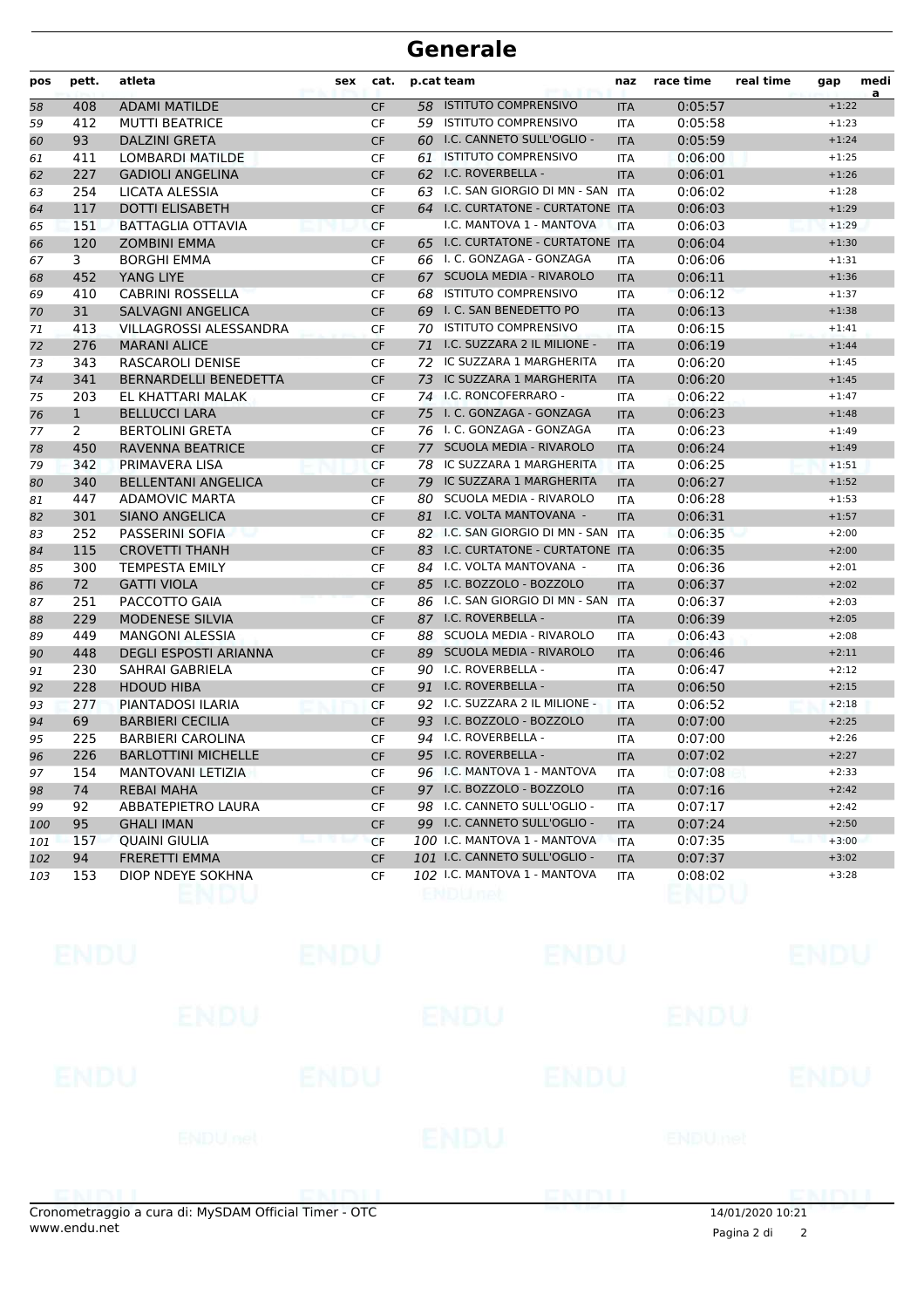| pos | pett.        | atleta                       | sex | cat.      |    | p.cat team                          | naz        | race time | real time | gap     | medi |
|-----|--------------|------------------------------|-----|-----------|----|-------------------------------------|------------|-----------|-----------|---------|------|
| 58  | 408          | <b>ADAMI MATILDE</b>         |     | <b>CF</b> |    | 58 ISTITUTO COMPRENSIVO             | <b>ITA</b> | 0:05:57   |           | $+1:22$ | a    |
| 59  | 412          | <b>MUTTI BEATRICE</b>        |     | <b>CF</b> |    | 59 ISTITUTO COMPRENSIVO             | <b>ITA</b> | 0:05:58   |           | $+1:23$ |      |
| 60  | 93           | <b>DALZINI GRETA</b>         |     | <b>CF</b> |    | 60 I.C. CANNETO SULL'OGLIO -        | <b>ITA</b> | 0:05:59   |           | $+1:24$ |      |
| 61  | 411          | <b>LOMBARDI MATILDE</b>      |     | <b>CF</b> | 61 | <b>ISTITUTO COMPRENSIVO</b>         | <b>ITA</b> | 0:06:00   |           | $+1:25$ |      |
| 62  | 227          | <b>GADIOLI ANGELINA</b>      |     | <b>CF</b> |    | 62 I.C. ROVERBELLA -                | <b>ITA</b> | 0:06:01   |           | $+1:26$ |      |
| 63  | 254          | LICATA ALESSIA               |     | CF        |    | 63 I.C. SAN GIORGIO DI MN - SAN ITA |            | 0:06:02   |           | $+1:28$ |      |
| 64  | 117          | <b>DOTTI ELISABETH</b>       |     | <b>CF</b> |    | 64 I.C. CURTATONE - CURTATONE ITA   |            | 0:06:03   |           | $+1:29$ |      |
| 65  | 151          | BATTAGLIA OTTAVIA            |     | <b>CF</b> |    | I.C. MANTOVA 1 - MANTOVA            | <b>ITA</b> | 0:06:03   |           | $+1:29$ |      |
| 66  | 120          | <b>ZOMBINI EMMA</b>          |     | <b>CF</b> |    | 65 I.C. CURTATONE - CURTATONE ITA   |            | 0:06:04   |           | $+1:30$ |      |
| 67  | 3            | <b>BORGHI EMMA</b>           |     | <b>CF</b> |    | 66 I. C. GONZAGA - GONZAGA          | <b>ITA</b> | 0:06:06   |           | $+1:31$ |      |
| 68  | 452          | YANG LIYE                    |     | <b>CF</b> | 67 | <b>SCUOLA MEDIA - RIVAROLO</b>      | <b>ITA</b> | 0:06:11   |           | $+1:36$ |      |
| 69  | 410          | <b>CABRINI ROSSELLA</b>      |     | <b>CF</b> | 68 | <b>ISTITUTO COMPRENSIVO</b>         | <b>ITA</b> | 0:06:12   |           | $+1:37$ |      |
| 70  | 31           | <b>SALVAGNI ANGELICA</b>     |     | <b>CF</b> |    | 69 I. C. SAN BENEDETTO PO           | <b>ITA</b> | 0:06:13   |           | $+1:38$ |      |
| 71  | 413          | VILLAGROSSI ALESSANDRA       |     | CF        |    | 70 ISTITUTO COMPRENSIVO             | <b>ITA</b> | 0:06:15   |           | $+1:41$ |      |
| 72  | 276          | <b>MARANI ALICE</b>          |     | <b>CF</b> |    | 71 I.C. SUZZARA 2 IL MILIONE -      | <b>ITA</b> | 0:06:19   |           | $+1:44$ |      |
| 73  | 343          | RASCAROLI DENISE             |     | <b>CF</b> |    | 72 IC SUZZARA 1 MARGHERITA          | <b>ITA</b> | 0:06:20   |           | $+1:45$ |      |
| 74  | 341          | <b>BERNARDELLI BENEDETTA</b> |     | <b>CF</b> | 73 | IC SUZZARA 1 MARGHERITA             | <b>ITA</b> | 0:06:20   |           | $+1:45$ |      |
| 75  | 203          | EL KHATTARI MALAK            |     | <b>CF</b> |    | 74 I.C. RONCOFERRARO -              | <b>ITA</b> | 0:06:22   |           | $+1:47$ |      |
| 76  | $\mathbf{1}$ | <b>BELLUCCI LARA</b>         |     | <b>CF</b> |    | 75 I. C. GONZAGA - GONZAGA          | <b>ITA</b> | 0:06:23   |           | $+1:48$ |      |
| 77  | 2            | <b>BERTOLINI GRETA</b>       |     | CF        |    | 76 I. C. GONZAGA - GONZAGA          | <b>ITA</b> | 0:06:23   |           | $+1:49$ |      |
| 78  | 450          | <b>RAVENNA BEATRICE</b>      |     | <b>CF</b> |    | 77 SCUOLA MEDIA - RIVAROLO          | <b>ITA</b> | 0:06:24   |           | $+1:49$ |      |
| 79  | 342          | PRIMAVERA LISA               |     | <b>CF</b> | 78 | IC SUZZARA 1 MARGHERITA             | <b>ITA</b> | 0:06:25   |           | $+1:51$ |      |
| 80  | 340          | <b>BELLENTANI ANGELICA</b>   |     | <b>CF</b> | 79 | IC SUZZARA 1 MARGHERITA             | <b>ITA</b> | 0:06:27   |           | $+1:52$ |      |
| 81  | 447          | <b>ADAMOVIC MARTA</b>        |     | <b>CF</b> | 80 | <b>SCUOLA MEDIA - RIVAROLO</b>      | <b>ITA</b> | 0:06:28   |           | $+1:53$ |      |
| 82  | 301          | <b>SIANO ANGELICA</b>        |     | <b>CF</b> |    | 81 I.C. VOLTA MANTOVANA -           | <b>ITA</b> | 0:06:31   |           | $+1:57$ |      |
| 83  | 252          | PASSERINI SOFIA              |     | <b>CF</b> |    | 82 I.C. SAN GIORGIO DI MN - SAN     | <b>ITA</b> | 0:06:35   |           | $+2:00$ |      |
| 84  | 115          | <b>CROVETTI THANH</b>        |     | <b>CF</b> |    | 83 I.C. CURTATONE - CURTATONE ITA   |            | 0:06:35   |           | $+2:00$ |      |
| 85  | 300          | <b>TEMPESTA EMILY</b>        |     | CF        |    | 84 I.C. VOLTA MANTOVANA -           | <b>ITA</b> | 0:06:36   |           | $+2:01$ |      |
| 86  | 72           | <b>GATTI VIOLA</b>           |     | <b>CF</b> |    | 85 I.C. BOZZOLO - BOZZOLO           | <b>ITA</b> | 0:06:37   |           | $+2:02$ |      |
| 87  | 251          | PACCOTTO GAIA                |     | <b>CF</b> |    | 86 I.C. SAN GIORGIO DI MN - SAN     | <b>ITA</b> | 0:06:37   |           | $+2:03$ |      |
| 88  | 229          | <b>MODENESE SILVIA</b>       |     | <b>CF</b> |    | 87 I.C. ROVERBELLA -                | <b>ITA</b> | 0:06:39   |           | $+2:05$ |      |
| 89  | 449          | <b>MANGONI ALESSIA</b>       |     | CF        |    | 88 SCUOLA MEDIA - RIVAROLO          | <b>ITA</b> | 0:06:43   |           | $+2:08$ |      |
| 90  | 448          | <b>DEGLI ESPOSTI ARIANNA</b> |     | <b>CF</b> |    | 89 SCUOLA MEDIA - RIVAROLO          | <b>ITA</b> | 0:06:46   |           | $+2:11$ |      |
| 91  | 230          | SAHRAI GABRIELA              |     | CF        |    | 90 I.C. ROVERBELLA -                | <b>ITA</b> | 0:06:47   |           | $+2:12$ |      |
| 92  | 228          | <b>HDOUD HIBA</b>            |     | <b>CF</b> | 91 | I.C. ROVERBELLA -                   | <b>ITA</b> | 0:06:50   |           | $+2:15$ |      |
| 93  | 277          | PIANTADOSI ILARIA            |     | <b>CF</b> |    | 92 I.C. SUZZARA 2 IL MILIONE -      | <b>ITA</b> | 0:06:52   |           | $+2:18$ |      |
| 94  | 69           | <b>BARBIERI CECILIA</b>      |     | <b>CF</b> |    | 93 I.C. BOZZOLO - BOZZOLO           | <b>ITA</b> | 0:07:00   |           | $+2:25$ |      |
| 95  | 225          | <b>BARBIERI CAROLINA</b>     |     | CF        |    | 94 I.C. ROVERBELLA -                | <b>ITA</b> | 0:07:00   |           | $+2:26$ |      |
| 96  | 226          | <b>BARLOTTINI MICHELLE</b>   |     | <b>CF</b> |    | 95 I.C. ROVERBELLA -                | <b>ITA</b> | 0:07:02   |           | $+2:27$ |      |
| 97  | 154          | MANTOVANI LETIZIA            |     | CF        |    | 96 I.C. MANTOVA 1 - MANTOVA         | ITA        | 0:07:08   |           | $+2:33$ |      |
| 98  | 74           | <b>REBAI MAHA</b>            |     | <b>CF</b> |    | 97 I.C. BOZZOLO - BOZZOLO           | <b>ITA</b> | 0:07:16   |           | $+2:42$ |      |
| 99  | 92           | ABBATEPIETRO LAURA           |     | CF        |    | 98 I.C. CANNETO SULL'OGLIO -        | ITA        | 0:07:17   |           | $+2:42$ |      |
| 100 | 95           | <b>GHALI IMAN</b>            |     | <b>CF</b> |    | 99 I.C. CANNETO SULL'OGLIO -        | <b>ITA</b> | 0:07:24   |           | $+2:50$ |      |
| 101 | 157          | <b>QUAINI GIULIA</b>         |     | CF        |    | 100 I.C. MANTOVA 1 - MANTOVA        | <b>ITA</b> | 0:07:35   |           | $+3:00$ |      |
| 102 | 94           | <b>FRERETTI EMMA</b>         |     | CF        |    | 101 I.C. CANNETO SULL'OGLIO -       | <b>ITA</b> | 0:07:37   |           | $+3:02$ |      |
| 103 | 153          | DIOP NDEYE SOKHNA            |     | CF        |    | 102 I.C. MANTOVA 1 - MANTOVA        | ITA        | 0:08:02   |           | $+3:28$ |      |
|     |              |                              |     |           |    |                                     |            |           |           |         |      |

| ENDU |                                                                                                                                                                                                                                      | ENDU |                                                     | <b>ENDU</b>    |                                   | <b>ENDU</b>              |
|------|--------------------------------------------------------------------------------------------------------------------------------------------------------------------------------------------------------------------------------------|------|-----------------------------------------------------|----------------|-----------------------------------|--------------------------|
|      | <b>ENDU</b>                                                                                                                                                                                                                          | ENDU |                                                     | ENDU           |                                   |                          |
|      | ENDU                                                                                                                                                                                                                                 |      | ENDU                                                |                | ENDU                              | <b>ENDU</b>              |
|      | <b>ENDU</b> nel                                                                                                                                                                                                                      |      | ENDU                                                | <b>ENDUmet</b> |                                   |                          |
|      | <b>EXAMPLE AND RESIDENCE AND RESIDENCE AND RESIDENCE AND RESIDENCE AND RESIDENCE AND RESIDENCE AND RESIDENCE AND RESIDENCE AND RESIDENCE AND RESIDENCE AND RESIDENCE AND RESIDENCE AND RESIDENCE AND RESIDENCE AND RESIDENCE AND</b> |      | THE R. P. LEWIS CO., LANSING MICH. 49-14039-1-120-2 |                | <b>THE ROLLEY CONTROL CONTROL</b> | <b><i>CONTRACTOR</i></b> |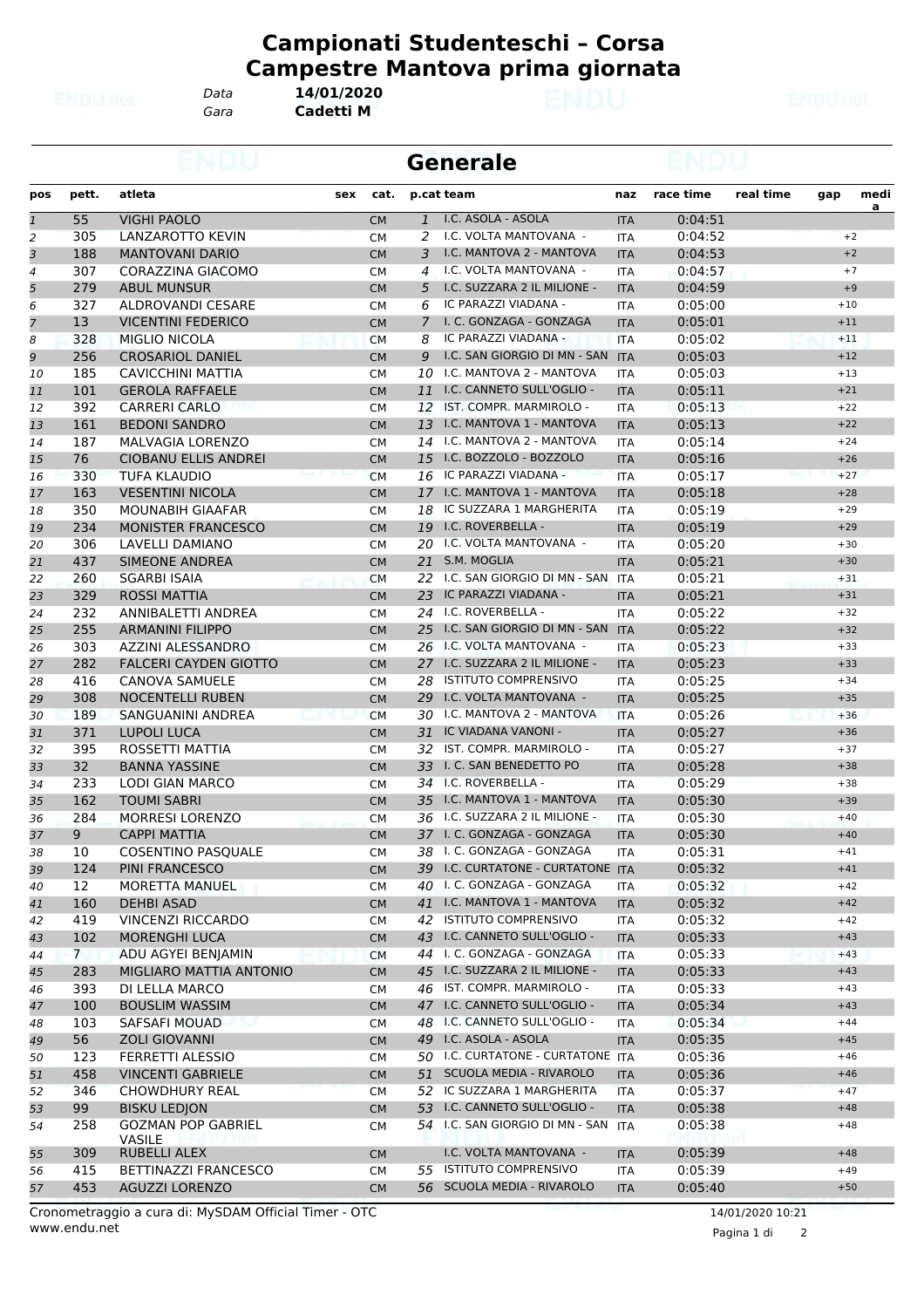*Gara* **Cadetti M** *Data* **14/01/2020**

|                |                 |                              | <b>Generale</b> |                        |              |                                     |            |                    |           |       |                |  |
|----------------|-----------------|------------------------------|-----------------|------------------------|--------------|-------------------------------------|------------|--------------------|-----------|-------|----------------|--|
| pos            | pett.           | atleta                       | sex             | cat.                   |              | p.cat team                          | naz        | race time          | real time | gap   | medi           |  |
| $\overline{1}$ | 55              | <b>VIGHI PAOLO</b>           |                 | <b>CM</b>              | $\mathbf{1}$ | I.C. ASOLA - ASOLA                  | <b>ITA</b> | 0:04:51            |           |       | $\overline{a}$ |  |
| 2              | 305             | <b>LANZAROTTO KEVIN</b>      |                 | <b>CM</b>              | 2            | I.C. VOLTA MANTOVANA -              | <b>ITA</b> | 0:04:52            |           | $+2$  |                |  |
| 3              | 188             | <b>MANTOVANI DARIO</b>       |                 | <b>CM</b>              | 3            | I.C. MANTOVA 2 - MANTOVA            | <b>ITA</b> | 0:04:53            |           | $+2$  |                |  |
| 4              | 307             | CORAZZINA GIACOMO            |                 | <b>CM</b>              | 4            | I.C. VOLTA MANTOVANA -              | <b>ITA</b> | 0:04:57            |           | $+7$  |                |  |
| 5              | 279             | <b>ABUL MUNSUR</b>           |                 | <b>CM</b>              | 5            | I.C. SUZZARA 2 IL MILIONE -         | <b>ITA</b> | 0:04:59            |           | $+9$  |                |  |
| 6              | 327             | ALDROVANDI CESARE            |                 | <b>CM</b>              | 6            | IC PARAZZI VIADANA -                | <b>ITA</b> | 0:05:00            |           | $+10$ |                |  |
| 7              | 13              | <b>VICENTINI FEDERICO</b>    |                 | <b>CM</b>              | 7            | I. C. GONZAGA - GONZAGA             | <b>ITA</b> | 0:05:01            |           | $+11$ |                |  |
| 8              | 328             | <b>MIGLIO NICOLA</b>         |                 | <b>CM</b>              | 8            | IC PARAZZI VIADANA -                | <b>ITA</b> | 0:05:02            |           | $+11$ |                |  |
| 9              | 256             | <b>CROSARIOL DANIEL</b>      |                 | <b>CM</b>              | 9            | I.C. SAN GIORGIO DI MN - SAN        | <b>ITA</b> | 0:05:03            |           | $+12$ |                |  |
| 10             | 185             | CAVICCHINI MATTIA            |                 | <b>CM</b>              |              | 10 I.C. MANTOVA 2 - MANTOVA         | <b>ITA</b> | 0:05:03            |           | $+13$ |                |  |
| 11             | 101             | <b>GEROLA RAFFAELE</b>       |                 | <b>CM</b>              | 11           | I.C. CANNETO SULL'OGLIO -           | <b>ITA</b> | 0:05:11            |           | $+21$ |                |  |
| 12             | 392             | <b>CARRERI CARLO</b>         |                 | <b>CM</b>              |              | 12 IST. COMPR. MARMIROLO -          | <b>ITA</b> | 0:05:13            |           | $+22$ |                |  |
| 13             | 161             | <b>BEDONI SANDRO</b>         |                 | <b>CM</b>              | 13           | I.C. MANTOVA 1 - MANTOVA            | <b>ITA</b> | 0:05:13            |           | $+22$ |                |  |
| 14             | 187             | MALVAGIA LORENZO             |                 | <b>CM</b>              |              | 14 I.C. MANTOVA 2 - MANTOVA         | <b>ITA</b> | 0:05:14            |           | $+24$ |                |  |
| 15             | 76              | <b>CIOBANU ELLIS ANDREI</b>  |                 | <b>CM</b>              |              | 15 I.C. BOZZOLO - BOZZOLO           | <b>ITA</b> | 0:05:16            |           | $+26$ |                |  |
| 16             | 330             | TUFA KLAUDIO                 |                 | <b>CM</b>              |              | 16 IC PARAZZI VIADANA -             | <b>ITA</b> | 0:05:17            |           | $+27$ |                |  |
| 17             | 163             | <b>VESENTINI NICOLA</b>      |                 | <b>CM</b>              |              | 17 I.C. MANTOVA 1 - MANTOVA         | <b>ITA</b> | 0:05:18            |           | $+28$ |                |  |
| 18             | 350             | <b>MOUNABIH GIAAFAR</b>      |                 | <b>CM</b>              |              | 18 IC SUZZARA 1 MARGHERITA          | <b>ITA</b> | 0:05:19            |           | $+29$ |                |  |
| 19             | 234             | <b>MONISTER FRANCESCO</b>    |                 | <b>CM</b>              |              | 19 I.C. ROVERBELLA -                | <b>ITA</b> | 0:05:19            |           | $+29$ |                |  |
| 20             | 306             | LAVELLI DAMIANO              |                 | <b>CM</b>              |              | 20 I.C. VOLTA MANTOVANA -           | <b>ITA</b> | 0:05:20            |           | $+30$ |                |  |
| 21             | 437             | SIMEONE ANDREA               |                 | <b>CM</b>              |              | 21 S.M. MOGLIA                      | <b>ITA</b> | 0:05:21            |           | $+30$ |                |  |
| 22             | 260             | SGARBI ISAIA                 |                 | <b>CM</b>              |              | 22 I.C. SAN GIORGIO DI MN - SAN ITA |            | 0:05:21            |           | $+31$ |                |  |
| 23             | 329             | <b>ROSSI MATTIA</b>          |                 | <b>CM</b>              |              | 23 IC PARAZZI VIADANA -             | <b>ITA</b> | 0:05:21            |           | $+31$ |                |  |
| 24             | 232             | ANNIBALETTI ANDREA           |                 | <b>CM</b>              |              | 24 I.C. ROVERBELLA -                | <b>ITA</b> | 0:05:22            |           | $+32$ |                |  |
| 25             | 255             | <b>ARMANINI FILIPPO</b>      |                 | <b>CM</b>              |              | 25 I.C. SAN GIORGIO DI MN - SAN ITA |            | 0:05:22            |           | $+32$ |                |  |
| 26             | 303             | AZZINI ALESSANDRO            |                 | <b>CM</b>              |              | 26 I.C. VOLTA MANTOVANA -           | <b>ITA</b> | 0:05:23            |           | $+33$ |                |  |
| 27             | 282             | <b>FALCERI CAYDEN GIOTTO</b> |                 | <b>CM</b>              |              | 27 I.C. SUZZARA 2 IL MILIONE -      | <b>ITA</b> | 0:05:23            |           | $+33$ |                |  |
| 28             | 416             | <b>CANOVA SAMUELE</b>        |                 | <b>CM</b>              |              | 28 ISTITUTO COMPRENSIVO             | ITA        | 0:05:25            |           | $+34$ |                |  |
| 29             | 308             | <b>NOCENTELLI RUBEN</b>      |                 | <b>CM</b>              |              | 29 I.C. VOLTA MANTOVANA -           | <b>ITA</b> | 0:05:25            |           | $+35$ |                |  |
| 30             | 189             | SANGUANINI ANDREA            |                 | <b>CM</b>              |              | 30 I.C. MANTOVA 2 - MANTOVA         | <b>ITA</b> | 0:05:26            |           | $+36$ |                |  |
| 31             | 371             | LUPOLI LUCA                  |                 | <b>CM</b>              |              | 31 IC VIADANA VANONI -              | <b>ITA</b> | 0:05:27            |           | $+36$ |                |  |
| 32             | 395             | ROSSETTI MATTIA              |                 | <b>CM</b>              |              | 32 IST. COMPR. MARMIROLO -          | <b>ITA</b> | 0:05:27            |           | $+37$ |                |  |
| 33             | 32 <sup>2</sup> | <b>BANNA YASSINE</b>         |                 | <b>CM</b>              |              | 33 I. C. SAN BENEDETTO PO           | <b>ITA</b> | 0:05:28            |           | $+38$ |                |  |
| 34             | 233             | LODI GIAN MARCO              |                 | <b>CM</b>              |              | 34 I.C. ROVERBELLA -                | ITA        | 0:05:29            |           | $+38$ |                |  |
| 35             | 162             | <b>TOUMI SABRI</b>           |                 | <b>CM</b>              |              | 35 I.C. MANTOVA 1 - MANTOVA         | <b>ITA</b> | 0:05:30            |           | $+39$ |                |  |
| 36             | 284             | <b>MORRESI LORENZO</b>       |                 | <b>CM</b>              |              | 36 I.C. SUZZARA 2 IL MILIONE -      | <b>ITA</b> | 0:05:30            |           | $+40$ |                |  |
| 37             | 9               | <b>CAPPI MATTIA</b>          |                 | <b>CM</b>              |              | 37 I. C. GONZAGA - GONZAGA          | <b>ITA</b> | 0:05:30            |           | $+40$ |                |  |
| 38             | 10              | COSENTINO PASQUALE           |                 | <b>CM</b>              |              | 38 I. C. GONZAGA - GONZAGA          | <b>ITA</b> | 0:05:31            |           | $+41$ |                |  |
| 39             | 124             | PINI FRANCESCO               |                 | <b>CM</b>              |              | 39 I.C. CURTATONE - CURTATONE ITA   |            | 0:05:32            |           | $+41$ |                |  |
| 40             | 12              | MORETTA MANUEL               |                 | <b>CM</b>              |              | 40 I. C. GONZAGA - GONZAGA          | ITA        | 0:05:32            |           | $+42$ |                |  |
| 41             | 160             | <b>DEHBI ASAD</b>            |                 | <b>CM</b>              |              | 41 I.C. MANTOVA 1 - MANTOVA         | <b>ITA</b> | 0:05:32            |           | $+42$ |                |  |
| 42             | 419             | <b>VINCENZI RICCARDO</b>     |                 | СM                     |              | 42 ISTITUTO COMPRENSIVO             | ITA        | 0:05:32            |           | $+42$ |                |  |
| 43             | 102             | MORENGHI LUCA                |                 | <b>CM</b>              |              | 43 I.C. CANNETO SULL'OGLIO -        | <b>ITA</b> | 0:05:33            |           | $+43$ |                |  |
| 44             | $7\phantom{0}$  | ADU AGYEI BENJAMIN           |                 | <b>CM</b>              |              | 44 I. C. GONZAGA - GONZAGA          | ITA        | 0:05:33            |           | $+43$ |                |  |
| 45             | 283             | MIGLIARO MATTIA ANTONIO      |                 | <b>CM</b>              |              | 45 I.C. SUZZARA 2 IL MILIONE -      | <b>ITA</b> | 0:05:33            |           | $+43$ |                |  |
| 46             | 393             | DI LELLA MARCO               |                 | <b>CM</b>              |              | 46 IST. COMPR. MARMIROLO -          | <b>ITA</b> | 0:05:33            |           | $+43$ |                |  |
| 47             | 100             | <b>BOUSLIM WASSIM</b>        |                 | <b>CM</b>              |              | 47 I.C. CANNETO SULL'OGLIO -        | <b>ITA</b> | 0:05:34            |           | $+43$ |                |  |
| 48             | 103             | SAFSAFI MOUAD                |                 | СM                     |              | 48 I.C. CANNETO SULL'OGLIO -        | ITA        | 0:05:34            |           | $+44$ |                |  |
| 49             | 56              | <b>ZOLI GIOVANNI</b>         |                 |                        |              | 49 I.C. ASOLA - ASOLA               |            | 0:05:35            |           | $+45$ |                |  |
| 50             | 123             | FERRETTI ALESSIO             |                 | <b>CM</b><br><b>CM</b> |              | 50 I.C. CURTATONE - CURTATONE ITA   | <b>ITA</b> | 0:05:36            |           | $+46$ |                |  |
|                | 458             | <b>VINCENTI GABRIELE</b>     |                 |                        |              | 51 SCUOLA MEDIA - RIVAROLO          |            |                    |           | $+46$ |                |  |
| 51<br>52       | 346             | <b>CHOWDHURY REAL</b>        |                 | <b>CM</b>              |              | 52 IC SUZZARA 1 MARGHERITA          | <b>ITA</b> | 0:05:36<br>0:05:37 |           | $+47$ |                |  |
| 53             | 99              | <b>BISKU LEDJON</b>          |                 | <b>CM</b>              |              | 53 I.C. CANNETO SULL'OGLIO -        | <b>ITA</b> | 0:05:38            |           | $+48$ |                |  |
|                | 258             | <b>GOZMAN POP GABRIEL</b>    |                 | <b>CM</b>              |              | 54 I.C. SAN GIORGIO DI MN - SAN ITA | <b>ITA</b> |                    |           | $+48$ |                |  |
| 54             |                 | <b>VASILE</b>                |                 | СM                     |              |                                     |            | 0:05:38            |           |       |                |  |
| 55             | 309             | RUBELLI ALEX                 |                 | <b>CM</b>              |              | I.C. VOLTA MANTOVANA -              | <b>ITA</b> | 0:05:39            |           | $+48$ |                |  |
| 56             | 415             | BETTINAZZI FRANCESCO         |                 | CM                     |              | 55 ISTITUTO COMPRENSIVO             | ITA        | 0:05:39            |           | $+49$ |                |  |
| 57             | 453             | <b>AGUZZI LORENZO</b>        |                 | <b>CM</b>              |              | 56 SCUOLA MEDIA - RIVAROLO          | <b>ITA</b> | 0:05:40            |           | $+50$ |                |  |
|                |                 |                              |                 |                        |              |                                     |            |                    |           |       |                |  |

Pagina 1 di 2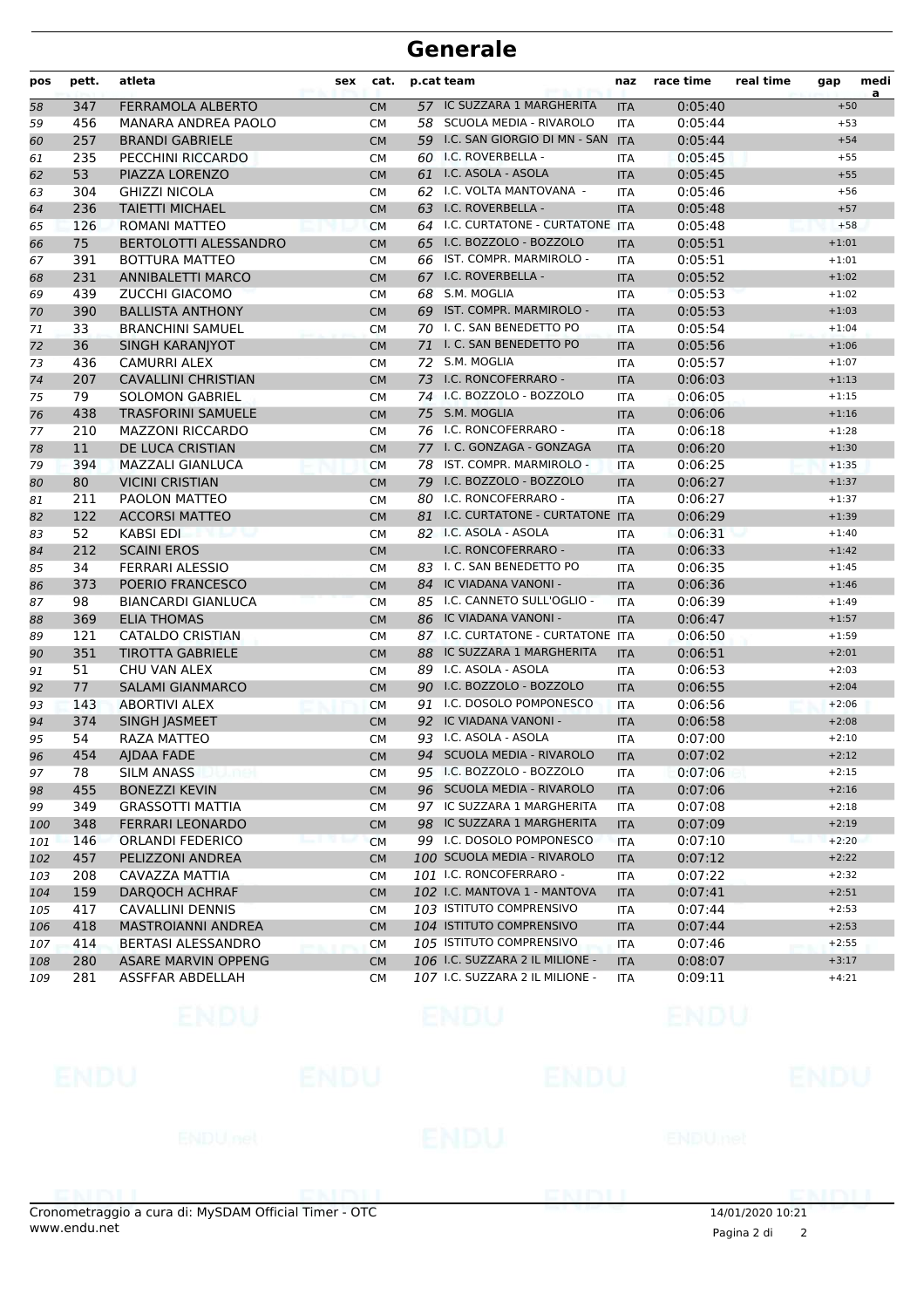| pos | pett. | atleta                       | sex | cat.      |    | p.cat team                        | naz        | race time | real time | gap     | medi<br>a |
|-----|-------|------------------------------|-----|-----------|----|-----------------------------------|------------|-----------|-----------|---------|-----------|
| 58  | 347   | <b>FERRAMOLA ALBERTO</b>     |     | <b>CM</b> |    | 57 IC SUZZARA 1 MARGHERITA        | <b>ITA</b> | 0:05:40   |           | $+50$   |           |
| 59  | 456   | <b>MANARA ANDREA PAOLO</b>   |     | <b>CM</b> | 58 | SCUOLA MEDIA - RIVAROLO           | <b>ITA</b> | 0:05:44   |           | $+53$   |           |
| 60  | 257   | <b>BRANDI GABRIELE</b>       |     | <b>CM</b> | 59 | I.C. SAN GIORGIO DI MN - SAN      | <b>ITA</b> | 0:05:44   |           | $+54$   |           |
| 61  | 235   | PECCHINI RICCARDO            |     | <b>CM</b> |    | 60 I.C. ROVERBELLA -              | <b>ITA</b> | 0:05:45   |           | $+55$   |           |
| 62  | 53    | PIAZZA LORENZO               |     | <b>CM</b> |    | 61 I.C. ASOLA - ASOLA             | <b>ITA</b> | 0:05:45   |           | $+55$   |           |
| 63  | 304   | <b>GHIZZI NICOLA</b>         |     | <b>CM</b> |    | 62 I.C. VOLTA MANTOVANA -         | <b>ITA</b> | 0:05:46   |           | $+56$   |           |
| 64  | 236   | <b>TAIETTI MICHAEL</b>       |     | <b>CM</b> |    | 63 I.C. ROVERBELLA -              | <b>ITA</b> | 0:05:48   |           | $+57$   |           |
| 65  | 126   | <b>ROMANI MATTEO</b>         |     | <b>CM</b> |    | 64 I.C. CURTATONE - CURTATONE ITA |            | 0:05:48   |           | $+58$   |           |
| 66  | 75    | <b>BERTOLOTTI ALESSANDRO</b> |     | <b>CM</b> |    | 65 I.C. BOZZOLO - BOZZOLO         | <b>ITA</b> | 0:05:51   |           | $+1:01$ |           |
| 67  | 391   | <b>BOTTURA MATTEO</b>        |     | <b>CM</b> | 66 | IST. COMPR. MARMIROLO -           | <b>ITA</b> | 0:05:51   |           | $+1:01$ |           |
| 68  | 231   | <b>ANNIBALETTI MARCO</b>     |     | <b>CM</b> |    | 67 I.C. ROVERBELLA -              | <b>ITA</b> | 0:05:52   |           | $+1:02$ |           |
| 69  | 439   | <b>ZUCCHI GIACOMO</b>        |     | <b>CM</b> |    | 68 S.M. MOGLIA                    | <b>ITA</b> | 0:05:53   |           | $+1:02$ |           |
| 70  | 390   | <b>BALLISTA ANTHONY</b>      |     | <b>CM</b> | 69 | IST. COMPR. MARMIROLO -           | <b>ITA</b> | 0:05:53   |           | $+1:03$ |           |
| 71  | 33    | <b>BRANCHINI SAMUEL</b>      |     | <b>CM</b> |    | 70 I. C. SAN BENEDETTO PO         | <b>ITA</b> | 0:05:54   |           | $+1:04$ |           |
| 72  | 36    | <b>SINGH KARANJYOT</b>       |     | <b>CM</b> |    | 71 I. C. SAN BENEDETTO PO         | <b>ITA</b> | 0:05:56   |           | $+1:06$ |           |
| 73  | 436   | <b>CAMURRI ALEX</b>          |     | <b>CM</b> |    | 72 S.M. MOGLIA                    | <b>ITA</b> | 0:05:57   |           | $+1:07$ |           |
| 74  | 207   | <b>CAVALLINI CHRISTIAN</b>   |     | <b>CM</b> |    | 73 I.C. RONCOFERRARO -            | <b>ITA</b> | 0:06:03   |           | $+1:13$ |           |
| 75  | 79    | <b>SOLOMON GABRIEL</b>       |     | <b>CM</b> |    | 74 I.C. BOZZOLO - BOZZOLO         | <b>ITA</b> | 0:06:05   |           | $+1:15$ |           |
| 76  | 438   | <b>TRASFORINI SAMUELE</b>    |     | <b>CM</b> |    | 75 S.M. MOGLIA                    | <b>ITA</b> | 0:06:06   |           | $+1:16$ |           |
| 77  | 210   | <b>MAZZONI RICCARDO</b>      |     | <b>CM</b> |    | 76 I.C. RONCOFERRARO -            | <b>ITA</b> | 0:06:18   |           | $+1:28$ |           |
| 78  | 11    | DE LUCA CRISTIAN             |     | <b>CM</b> |    | 77 I. C. GONZAGA - GONZAGA        | <b>ITA</b> | 0:06:20   |           | $+1:30$ |           |
| 79  | 394   | <b>MAZZALI GIANLUCA</b>      |     |           | 78 | IST. COMPR. MARMIROLO -           | <b>ITA</b> | 0:06:25   |           | $+1:35$ |           |
|     |       | <b>VICINI CRISTIAN</b>       |     | <b>CM</b> |    | 79 I.C. BOZZOLO - BOZZOLO         |            | 0:06:27   |           | $+1:37$ |           |
| 80  | 80    |                              |     | <b>CM</b> |    | 80 I.C. RONCOFERRARO -            | <b>ITA</b> |           |           |         |           |
| 81  | 211   | PAOLON MATTEO                |     | <b>CM</b> |    |                                   | <b>ITA</b> | 0:06:27   |           | $+1:37$ |           |
| 82  | 122   | <b>ACCORSI MATTEO</b>        |     | <b>CM</b> |    | 81 I.C. CURTATONE - CURTATONE ITA |            | 0:06:29   |           | $+1:39$ |           |
| 83  | 52    | <b>KABSI EDI</b>             |     | <b>CM</b> |    | 82 I.C. ASOLA - ASOLA             | ITA        | 0:06:31   |           | $+1:40$ |           |
| 84  | 212   | <b>SCAINI EROS</b>           |     | <b>CM</b> |    | I.C. RONCOFERRARO -               | <b>ITA</b> | 0:06:33   |           | $+1:42$ |           |
| 85  | 34    | <b>FERRARI ALESSIO</b>       |     | <b>CM</b> |    | 83 I. C. SAN BENEDETTO PO         | <b>ITA</b> | 0:06:35   |           | $+1:45$ |           |
| 86  | 373   | POERIO FRANCESCO             |     | <b>CM</b> |    | 84 IC VIADANA VANONI -            | <b>ITA</b> | 0:06:36   |           | $+1:46$ |           |
| 87  | 98    | <b>BIANCARDI GIANLUCA</b>    |     | <b>CM</b> |    | 85 I.C. CANNETO SULL'OGLIO -      | <b>ITA</b> | 0:06:39   |           | $+1:49$ |           |
| 88  | 369   | <b>ELIA THOMAS</b>           |     | <b>CM</b> |    | 86 IC VIADANA VANONI -            | <b>ITA</b> | 0:06:47   |           | $+1:57$ |           |
| 89  | 121   | <b>CATALDO CRISTIAN</b>      |     | <b>CM</b> |    | 87 I.C. CURTATONE - CURTATONE ITA |            | 0:06:50   |           | $+1:59$ |           |
| 90  | 351   | <b>TIROTTA GABRIELE</b>      |     | <b>CM</b> | 88 | IC SUZZARA 1 MARGHERITA           | <b>ITA</b> | 0:06:51   |           | $+2:01$ |           |
| 91  | 51    | CHU VAN ALEX                 |     | <b>CM</b> |    | 89 I.C. ASOLA - ASOLA             | <b>ITA</b> | 0:06:53   |           | $+2:03$ |           |
| 92  | 77    | <b>SALAMI GIANMARCO</b>      |     | <b>CM</b> |    | 90 I.C. BOZZOLO - BOZZOLO         | <b>ITA</b> | 0:06:55   |           | $+2:04$ |           |
| 93  | 143   | <b>ABORTIVI ALEX</b>         |     | <b>CM</b> |    | 91 I.C. DOSOLO POMPONESCO         | <b>ITA</b> | 0:06:56   |           | $+2:06$ |           |
| 94  | 374   | SINGH JASMEET                |     | <b>CM</b> |    | 92 IC VIADANA VANONI -            | <b>ITA</b> | 0:06:58   |           | $+2:08$ |           |
| 95  | 54    | <b>RAZA MATTEO</b>           |     | <b>CM</b> |    | 93 I.C. ASOLA - ASOLA             | <b>ITA</b> | 0:07:00   |           | $+2:10$ |           |
| 96  | 454   | <b>AIDAA FADE</b>            |     | <b>CM</b> |    | 94 SCUOLA MEDIA - RIVAROLO        | <b>ITA</b> | 0:07:02   |           | $+2:12$ |           |
| 97  | 78    | <b>SILM ANASS</b>            |     | <b>CM</b> |    | 95 I.C. BOZZOLO - BOZZOLO         | ITA        | 0:07:06   |           | $+2:15$ |           |
| 98  | 455   | <b>BONEZZI KEVIN</b>         |     | <b>CM</b> |    | 96 SCUOLA MEDIA - RIVAROLO        | <b>ITA</b> | 0:07:06   |           | $+2:16$ |           |
| 99  | 349   | <b>GRASSOTTI MATTIA</b>      |     | <b>CM</b> |    | 97 IC SUZZARA 1 MARGHERITA        | <b>ITA</b> | 0:07:08   |           | $+2:18$ |           |
| 100 | 348   | <b>FERRARI LEONARDO</b>      |     | <b>CM</b> |    | 98 IC SUZZARA 1 MARGHERITA        | <b>ITA</b> | 0:07:09   |           | $+2:19$ |           |
| 101 | 146   | ORLANDI FEDERICO             |     | <b>CM</b> |    | 99 I.C. DOSOLO POMPONESCO         | ITA        | 0:07:10   |           | $+2:20$ |           |
| 102 | 457   | PELIZZONI ANDREA             |     | <b>CM</b> |    | 100 SCUOLA MEDIA - RIVAROLO       | <b>ITA</b> | 0:07:12   |           | $+2:22$ |           |
| 103 | 208   | CAVAZZA MATTIA               |     | <b>CM</b> |    | 101 I.C. RONCOFERRARO -           | ITA        | 0:07:22   |           | $+2:32$ |           |
| 104 | 159   | DARQOCH ACHRAF               |     | <b>CM</b> |    | 102 I.C. MANTOVA 1 - MANTOVA      | <b>ITA</b> | 0:07:41   |           | $+2:51$ |           |
| 105 | 417   | <b>CAVALLINI DENNIS</b>      |     | <b>CM</b> |    | 103 ISTITUTO COMPRENSIVO          | <b>ITA</b> | 0:07:44   |           | $+2:53$ |           |
| 106 | 418   | <b>MASTROIANNI ANDREA</b>    |     | <b>CM</b> |    | 104 ISTITUTO COMPRENSIVO          | <b>ITA</b> | 0:07:44   |           | $+2:53$ |           |
| 107 | 414   | BERTASI ALESSANDRO           |     | <b>CM</b> |    | 105 ISTITUTO COMPRENSIVO          | ITA        | 0:07:46   |           | $+2:55$ |           |
| 108 | 280   | <b>ASARE MARVIN OPPENG</b>   |     | <b>CM</b> |    | 106 I.C. SUZZARA 2 IL MILIONE -   | <b>ITA</b> | 0:08:07   |           | $+3:17$ |           |
| 109 | 281   | ASSFFAR ABDELLAH             |     | <b>CM</b> |    | 107 I.C. SUZZARA 2 IL MILIONE -   | ITA        | 0:09:11   |           | $+4:21$ |           |
|     |       |                              |     |           |    |                                   |            |           |           |         |           |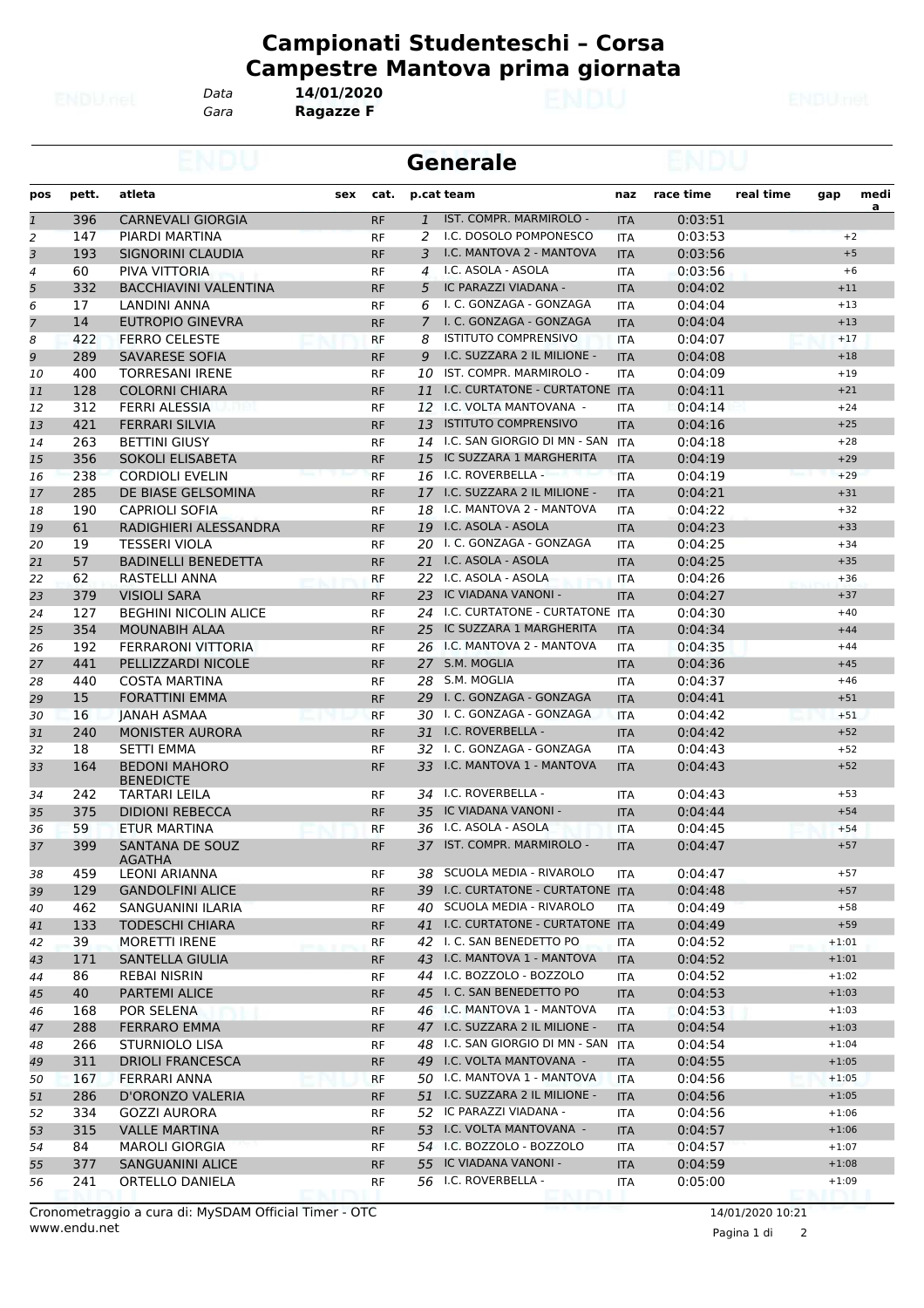*Gara* **Ragazze F** *Data* **14/01/2020**

|              |       |                                          |     |           |              | <b>Generale</b>                     |            |           |           |         |           |  |
|--------------|-------|------------------------------------------|-----|-----------|--------------|-------------------------------------|------------|-----------|-----------|---------|-----------|--|
| pos          | pett. | atleta                                   | sex | cat.      |              | p.cat team                          | naz        | race time | real time | gap     | medi<br>a |  |
| $\mathbf{1}$ | 396   | <b>CARNEVALI GIORGIA</b>                 |     | <b>RF</b> | $\mathbf{1}$ | IST. COMPR. MARMIROLO -             | <b>ITA</b> | 0:03:51   |           |         |           |  |
| 2            | 147   | PIARDI MARTINA                           |     | <b>RF</b> | 2            | I.C. DOSOLO POMPONESCO              | <b>ITA</b> | 0:03:53   |           | $+2$    |           |  |
| 3            | 193   | SIGNORINI CLAUDIA                        |     | <b>RF</b> | 3            | I.C. MANTOVA 2 - MANTOVA            | <b>ITA</b> | 0:03:56   |           | $+5$    |           |  |
| 4            | 60    | PIVA VITTORIA                            |     | <b>RF</b> | 4            | I.C. ASOLA - ASOLA                  | <b>ITA</b> | 0:03:56   |           | $+6$    |           |  |
| 5            | 332   | <b>BACCHIAVINI VALENTINA</b>             |     | <b>RF</b> | 5            | IC PARAZZI VIADANA -                | <b>ITA</b> | 0:04:02   |           | $+11$   |           |  |
| 6            | 17    | <b>LANDINI ANNA</b>                      |     | <b>RF</b> | 6            | I. C. GONZAGA - GONZAGA             | <b>ITA</b> | 0:04:04   |           | $+13$   |           |  |
| 7            | 14    | <b>EUTROPIO GINEVRA</b>                  |     | <b>RF</b> | 7            | I. C. GONZAGA - GONZAGA             | <b>ITA</b> | 0:04:04   |           | $+13$   |           |  |
| 8            | 422   | <b>FERRO CELESTE</b>                     |     | <b>RF</b> | 8            | <b>ISTITUTO COMPRENSIVO</b>         | <b>ITA</b> | 0:04:07   |           | $+17$   |           |  |
| 9            | 289   | <b>SAVARESE SOFIA</b>                    |     | <b>RF</b> | 9            | I.C. SUZZARA 2 IL MILIONE -         | <b>ITA</b> | 0:04:08   |           | $+18$   |           |  |
| 10           | 400   | <b>TORRESANI IRENE</b>                   |     | <b>RF</b> | 10           | IST. COMPR. MARMIROLO -             | <b>ITA</b> | 0:04:09   |           | $+19$   |           |  |
| 11           | 128   | <b>COLORNI CHIARA</b>                    |     | <b>RF</b> | 11           | I.C. CURTATONE - CURTATONE ITA      |            | 0:04:11   |           | $+21$   |           |  |
| 12           | 312   | <b>FERRI ALESSIA</b>                     |     | RF        |              | 12 I.C. VOLTA MANTOVANA -           | <b>ITA</b> | 0:04:14   |           | $+24$   |           |  |
| 13           | 421   | <b>FERRARI SILVIA</b>                    |     | <b>RF</b> | 13           | <b>ISTITUTO COMPRENSIVO</b>         | <b>ITA</b> | 0:04:16   |           | $+25$   |           |  |
| 14           | 263   | <b>BETTINI GIUSY</b>                     |     | <b>RF</b> | 14           | I.C. SAN GIORGIO DI MN - SAN        | <b>ITA</b> | 0:04:18   |           | $+28$   |           |  |
| 15           | 356   | SOKOLI ELISABETA                         |     | <b>RF</b> | 15           | IC SUZZARA 1 MARGHERITA             | <b>ITA</b> | 0:04:19   |           | $+29$   |           |  |
| 16           | 238   | <b>CORDIOLI EVELIN</b>                   |     | <b>RF</b> |              | 16 I.C. ROVERBELLA -                | <b>ITA</b> | 0:04:19   |           | $+29$   |           |  |
| 17           | 285   | DE BIASE GELSOMINA                       |     | <b>RF</b> |              | 17 I.C. SUZZARA 2 IL MILIONE -      | <b>ITA</b> | 0:04:21   |           | $+31$   |           |  |
| 18           | 190   | <b>CAPRIOLI SOFIA</b>                    |     | RF        |              | 18 I.C. MANTOVA 2 - MANTOVA         | <b>ITA</b> | 0:04:22   |           | $+32$   |           |  |
| 19           | 61    | RADIGHIERI ALESSANDRA                    |     | <b>RF</b> |              | 19 I.C. ASOLA - ASOLA               | <b>ITA</b> | 0:04:23   |           | $+33$   |           |  |
| 20           | 19    | <b>TESSERI VIOLA</b>                     |     | <b>RF</b> |              | 20 I. C. GONZAGA - GONZAGA          | <b>ITA</b> | 0:04:25   |           | $+34$   |           |  |
| 21           | 57    | <b>BADINELLI BENEDETTA</b>               |     | <b>RF</b> |              | 21 I.C. ASOLA - ASOLA               | <b>ITA</b> | 0:04:25   |           | $+35$   |           |  |
| 22           | 62    | RASTELLI ANNA                            |     | <b>RF</b> |              | 22 I.C. ASOLA - ASOLA               | <b>ITA</b> | 0:04:26   |           | $+36$   |           |  |
| 23           | 379   | <b>VISIOLI SARA</b>                      |     | <b>RF</b> |              | 23 IC VIADANA VANONI -              | <b>ITA</b> | 0:04:27   |           | $+37$   |           |  |
| 24           | 127   | <b>BEGHINI NICOLIN ALICE</b>             |     | RF        |              | 24 I.C. CURTATONE - CURTATONE ITA   |            | 0:04:30   |           | $+40$   |           |  |
| 25           | 354   | <b>MOUNABIH ALAA</b>                     |     | <b>RF</b> | 25           | IC SUZZARA 1 MARGHERITA             | <b>ITA</b> | 0:04:34   |           | $+44$   |           |  |
| 26           | 192   | <b>FERRARONI VITTORIA</b>                |     | <b>RF</b> |              | 26 I.C. MANTOVA 2 - MANTOVA         | <b>ITA</b> | 0:04:35   |           | $+44$   |           |  |
| 27           | 441   | PELLIZZARDI NICOLE                       |     | <b>RF</b> | 27           | S.M. MOGLIA                         | <b>ITA</b> | 0:04:36   |           | $+45$   |           |  |
| 28           | 440   | <b>COSTA MARTINA</b>                     |     | <b>RF</b> |              | 28 S.M. MOGLIA                      | <b>ITA</b> | 0:04:37   |           | $+46$   |           |  |
| 29           | 15    | <b>FORATTINI EMMA</b>                    |     | <b>RF</b> |              | 29 I. C. GONZAGA - GONZAGA          | <b>ITA</b> | 0:04:41   |           | $+51$   |           |  |
| 30           | 16    | <b>JANAH ASMAA</b>                       |     | <b>RF</b> |              | 30 I. C. GONZAGA - GONZAGA          | <b>ITA</b> | 0:04:42   |           | $+51$   |           |  |
| 31           | 240   | <b>MONISTER AURORA</b>                   |     | <b>RF</b> | 31           | I.C. ROVERBELLA -                   | <b>ITA</b> | 0:04:42   |           | $+52$   |           |  |
| 32           | 18    | <b>SETTI EMMA</b>                        |     | <b>RF</b> | 32           | I. C. GONZAGA - GONZAGA             | <b>ITA</b> | 0:04:43   |           | $+52$   |           |  |
| 33           | 164   | <b>BEDONI MAHORO</b><br><b>BENEDICTE</b> |     | <b>RF</b> |              | 33 I.C. MANTOVA 1 - MANTOVA         | <b>ITA</b> | 0:04:43   |           | $+52$   |           |  |
| 34           | 242   | <b>TARTARI LEILA</b>                     |     | <b>RF</b> |              | 34 I.C. ROVERBELLA -                | <b>ITA</b> | 0:04:43   |           | $+53$   |           |  |
| 35           | 375   | <b>DIDIONI REBECCA</b>                   |     | <b>RF</b> |              | 35 IC VIADANA VANONI -              | <b>ITA</b> | 0:04:44   |           | $+54$   |           |  |
| 36           | 59    | ETUR MARTINA                             |     | <b>RF</b> |              | 36 I.C. ASOLA - ASOLA               | <b>ITA</b> | 0:04:45   |           | $+54$   |           |  |
| 37           | 399   | SANTANA DE SOUZ<br>AGATHA                |     | RF        |              | 37 IST. COMPR. MARMIROLO -          | <b>ITA</b> | 0:04:47   |           | $+57$   |           |  |
| 38           | 459   | <b>LEONI ARIANNA</b>                     |     | RF        |              | 38 SCUOLA MEDIA - RIVAROLO          | ITA        | 0:04:47   |           | $+57$   |           |  |
| 39           | 129   | <b>GANDOLFINI ALICE</b>                  |     | <b>RF</b> | 39           | I.C. CURTATONE - CURTATONE ITA      |            | 0:04:48   |           | $+57$   |           |  |
| 40           | 462   | SANGUANINI ILARIA                        |     | RF        | 40           | SCUOLA MEDIA - RIVAROLO             | <b>ITA</b> | 0:04:49   |           | $+58$   |           |  |
| 41           | 133   | <b>TODESCHI CHIARA</b>                   |     | <b>RF</b> |              | 41 I.C. CURTATONE - CURTATONE ITA   |            | 0:04:49   |           | $+59$   |           |  |
| 42           | 39    | <b>MORETTI IRENE</b>                     |     | RF        |              | 42 I. C. SAN BENEDETTO PO           | <b>ITA</b> | 0:04:52   |           | $+1:01$ |           |  |
| 43           | 171   | <b>SANTELLA GIULIA</b>                   |     | <b>RF</b> |              | 43 I.C. MANTOVA 1 - MANTOVA         | <b>ITA</b> | 0:04:52   |           | $+1:01$ |           |  |
| 44           | 86    | REBAI NISRIN                             |     | RF        |              | 44 I.C. BOZZOLO - BOZZOLO           | ITA        | 0:04:52   |           | $+1:02$ |           |  |
| 45           | 40    | <b>PARTEMI ALICE</b>                     |     | <b>RF</b> | 45           | I. C. SAN BENEDETTO PO              | <b>ITA</b> | 0:04:53   |           | $+1:03$ |           |  |
| 46           | 168   | POR SELENA                               |     | RF        |              | 46 I.C. MANTOVA 1 - MANTOVA         | <b>ITA</b> | 0:04:53   |           | $+1:03$ |           |  |
| 47           | 288   | <b>FERRARO EMMA</b>                      |     | <b>RF</b> |              | 47 I.C. SUZZARA 2 IL MILIONE -      | <b>ITA</b> | 0:04:54   |           | $+1:03$ |           |  |
| 48           | 266   | <b>STURNIOLO LISA</b>                    |     | RF        |              | 48 I.C. SAN GIORGIO DI MN - SAN ITA |            | 0:04:54   |           | $+1:04$ |           |  |
| 49           | 311   | <b>DRIOLI FRANCESCA</b>                  |     | <b>RF</b> |              | 49 I.C. VOLTA MANTOVANA -           | <b>ITA</b> | 0:04:55   |           | $+1:05$ |           |  |
| 50           | 167   | FERRARI ANNA                             |     | RF        |              | 50 I.C. MANTOVA 1 - MANTOVA         | <b>ITA</b> | 0:04:56   |           | $+1:05$ |           |  |
| 51           | 286   | D'ORONZO VALERIA                         |     | <b>RF</b> | 51           | I.C. SUZZARA 2 IL MILIONE -         | <b>ITA</b> | 0:04:56   |           | $+1:05$ |           |  |
| 52           | 334   | <b>GOZZI AURORA</b>                      |     | RF        | 52           | IC PARAZZI VIADANA -                | <b>ITA</b> | 0:04:56   |           | $+1:06$ |           |  |
| 53           | 315   | <b>VALLE MARTINA</b>                     |     | <b>RF</b> |              | 53 I.C. VOLTA MANTOVANA -           | <b>ITA</b> | 0:04:57   |           | $+1:06$ |           |  |
| 54           | 84    | <b>MAROLI GIORGIA</b>                    |     | RF        |              | 54 I.C. BOZZOLO - BOZZOLO           | <b>ITA</b> | 0:04:57   |           | $+1:07$ |           |  |
| 55           | 377   | SANGUANINI ALICE                         |     | <b>RF</b> |              | 55 IC VIADANA VANONI -              | <b>ITA</b> | 0:04:59   |           | $+1:08$ |           |  |
| 56           | 241   | ORTELLO DANIELA                          |     | RF        |              | 56 I.C. ROVERBELLA -                | ITA        | 0:05:00   |           | $+1:09$ |           |  |

Pagina 1 di 2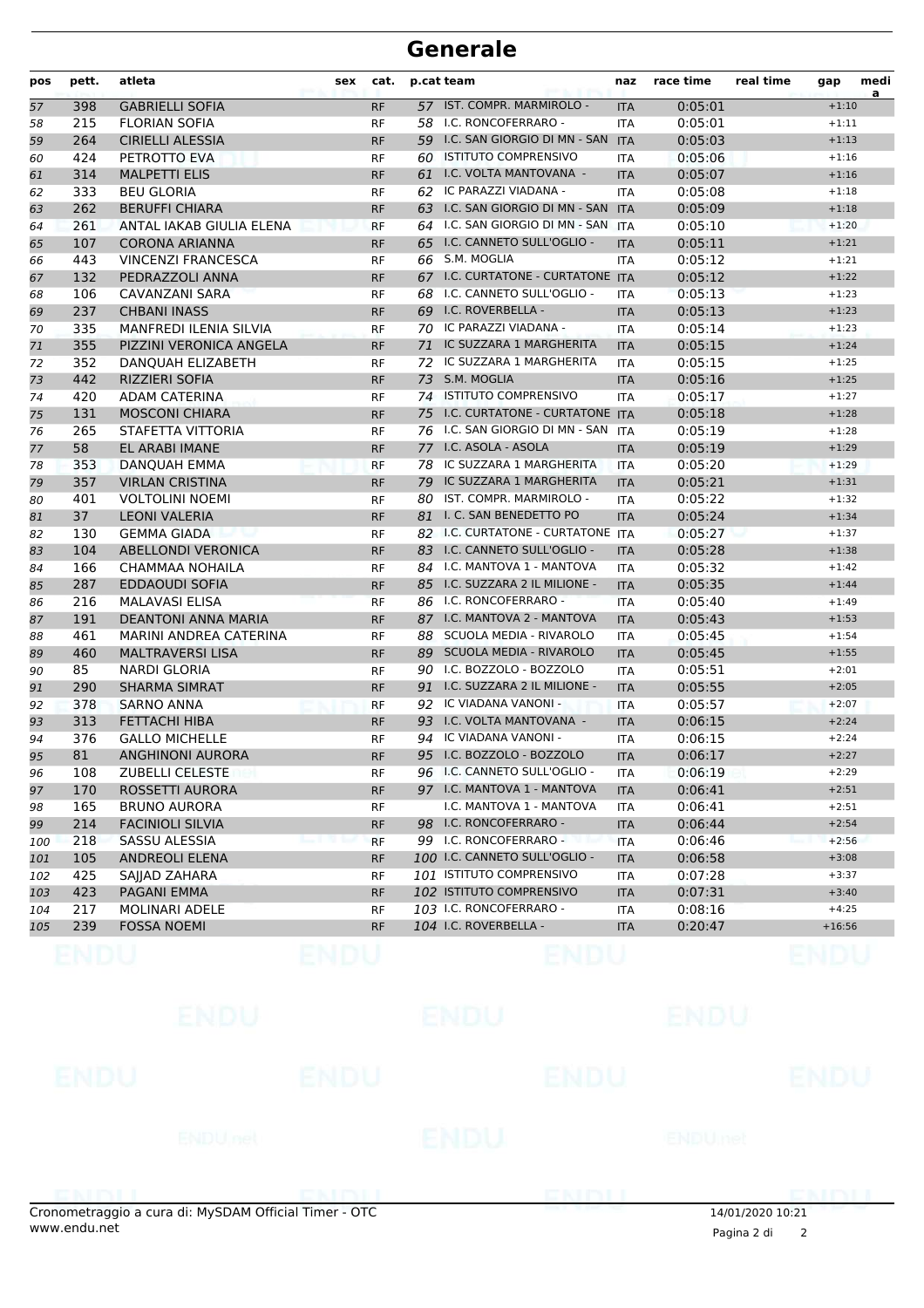| pos | pett. | atleta                        | sex | cat.      |    | p.cat team                          | naz        | race time | real time | gap      | medi<br>a |
|-----|-------|-------------------------------|-----|-----------|----|-------------------------------------|------------|-----------|-----------|----------|-----------|
| 57  | 398   | <b>GABRIELLI SOFIA</b>        |     | <b>RF</b> |    | 57 IST. COMPR. MARMIROLO -          | <b>ITA</b> | 0:05:01   |           | $+1:10$  |           |
| 58  | 215   | <b>FLORIAN SOFIA</b>          |     | <b>RF</b> |    | 58 I.C. RONCOFERRARO -              | <b>ITA</b> | 0:05:01   |           | $+1:11$  |           |
| 59  | 264   | <b>CIRIELLI ALESSIA</b>       |     | <b>RF</b> |    | 59 I.C. SAN GIORGIO DI MN - SAN     | <b>ITA</b> | 0:05:03   |           | $+1:13$  |           |
| 60  | 424   | PETROTTO EVA                  |     | <b>RF</b> | 60 | <b>ISTITUTO COMPRENSIVO</b>         | <b>ITA</b> | 0:05:06   |           | $+1:16$  |           |
| 61  | 314   | <b>MALPETTI ELIS</b>          |     | <b>RF</b> | 61 | I.C. VOLTA MANTOVANA -              | <b>ITA</b> | 0:05:07   |           | $+1:16$  |           |
| 62  | 333   | <b>BEU GLORIA</b>             |     | <b>RF</b> |    | 62 IC PARAZZI VIADANA -             | <b>ITA</b> | 0:05:08   |           | $+1:18$  |           |
| 63  | 262   | <b>BERUFFI CHIARA</b>         |     | <b>RF</b> |    | 63 I.C. SAN GIORGIO DI MN - SAN     | <b>ITA</b> | 0:05:09   |           | $+1:18$  |           |
| 64  | 261   | ANTAL IAKAB GIULIA ELENA      |     | <b>RF</b> |    | 64 I.C. SAN GIORGIO DI MN - SAN ITA |            | 0:05:10   |           | $+1:20$  |           |
| 65  | 107   | <b>CORONA ARIANNA</b>         |     | <b>RF</b> |    | 65 I.C. CANNETO SULL'OGLIO -        | <b>ITA</b> | 0:05:11   |           | $+1:21$  |           |
| 66  | 443   | <b>VINCENZI FRANCESCA</b>     |     | <b>RF</b> |    | 66 S.M. MOGLIA                      | ITA        | 0:05:12   |           | $+1:21$  |           |
| 67  | 132   | PEDRAZZOLI ANNA               |     | <b>RF</b> |    | 67 I.C. CURTATONE - CURTATONE ITA   |            | 0:05:12   |           | $+1:22$  |           |
| 68  | 106   | <b>CAVANZANI SARA</b>         |     | <b>RF</b> |    | 68 I.C. CANNETO SULL'OGLIO -        | <b>ITA</b> | 0:05:13   |           | $+1:23$  |           |
| 69  | 237   | <b>CHBANI INASS</b>           |     | <b>RF</b> |    | 69 I.C. ROVERBELLA -                | <b>ITA</b> | 0:05:13   |           | $+1:23$  |           |
| 70  | 335   | <b>MANFREDI ILENIA SILVIA</b> |     | <b>RF</b> |    | 70 IC PARAZZI VIADANA -             | <b>ITA</b> | 0:05:14   |           | $+1:23$  |           |
| 71  | 355   | PIZZINI VERONICA ANGELA       |     | <b>RF</b> | 71 | IC SUZZARA 1 MARGHERITA             | <b>ITA</b> | 0:05:15   |           | $+1:24$  |           |
| 72  | 352   | DANQUAH ELIZABETH             |     | RF        | 72 | IC SUZZARA 1 MARGHERITA             | <b>ITA</b> | 0:05:15   |           | $+1:25$  |           |
| 73  | 442   | <b>RIZZIERI SOFIA</b>         |     | <b>RF</b> |    | 73 S.M. MOGLIA                      | <b>ITA</b> | 0:05:16   |           | $+1:25$  |           |
| 74  | 420   | ADAM CATERINA                 |     | <b>RF</b> |    | 74 ISTITUTO COMPRENSIVO             | <b>ITA</b> | 0:05:17   |           | $+1:27$  |           |
| 75  | 131   | <b>MOSCONI CHIARA</b>         |     | <b>RF</b> |    | 75 I.C. CURTATONE - CURTATONE ITA   |            | 0:05:18   |           | $+1:28$  |           |
| 76  | 265   | STAFETTA VITTORIA             |     | <b>RF</b> |    | 76 I.C. SAN GIORGIO DI MN - SAN ITA |            | 0:05:19   |           | $+1:28$  |           |
| 77  | 58    | <b>EL ARABI IMANE</b>         |     | <b>RF</b> |    | 77 I.C. ASOLA - ASOLA               | <b>ITA</b> | 0:05:19   |           | $+1:29$  |           |
| 78  | 353   | <b>DANOUAH EMMA</b>           |     | <b>RF</b> | 78 | IC SUZZARA 1 MARGHERITA             | <b>ITA</b> | 0:05:20   |           | $+1:29$  |           |
| 79  | 357   | <b>VIRLAN CRISTINA</b>        |     | <b>RF</b> | 79 | IC SUZZARA 1 MARGHERITA             | <b>ITA</b> | 0:05:21   |           | $+1:31$  |           |
| 80  | 401   | <b>VOLTOLINI NOEMI</b>        |     | <b>RF</b> |    | 80 IST. COMPR. MARMIROLO -          | <b>ITA</b> | 0:05:22   |           | $+1:32$  |           |
| 81  | 37    | <b>LEONI VALERIA</b>          |     | <b>RF</b> |    | 81 I. C. SAN BENEDETTO PO           | <b>ITA</b> | 0:05:24   |           | $+1:34$  |           |
| 82  | 130   | <b>GEMMA GIADA</b>            |     | <b>RF</b> |    | 82 I.C. CURTATONE - CURTATONE ITA   |            | 0:05:27   |           | $+1:37$  |           |
| 83  | 104   | <b>ABELLONDI VERONICA</b>     |     | <b>RF</b> |    | 83 I.C. CANNETO SULL'OGLIO -        | <b>ITA</b> | 0:05:28   |           | $+1:38$  |           |
| 84  | 166   | CHAMMAA NOHAILA               |     | RF        |    | 84 I.C. MANTOVA 1 - MANTOVA         | <b>ITA</b> | 0:05:32   |           | $+1:42$  |           |
| 85  | 287   | <b>EDDAOUDI SOFIA</b>         |     | <b>RF</b> |    | 85 I.C. SUZZARA 2 IL MILIONE -      | <b>ITA</b> | 0:05:35   |           | $+1:44$  |           |
| 86  | 216   | <b>MALAVASI ELISA</b>         |     | <b>RF</b> |    | 86 I.C. RONCOFERRARO -              | <b>ITA</b> | 0:05:40   |           | $+1:49$  |           |
| 87  | 191   | <b>DEANTONI ANNA MARIA</b>    |     | <b>RF</b> |    | 87 I.C. MANTOVA 2 - MANTOVA         | <b>ITA</b> | 0:05:43   |           | $+1:53$  |           |
| 88  | 461   | <b>MARINI ANDREA CATERINA</b> |     | <b>RF</b> |    | 88 SCUOLA MEDIA - RIVAROLO          | <b>ITA</b> | 0:05:45   |           | $+1:54$  |           |
| 89  | 460   | <b>MALTRAVERSI LISA</b>       |     | <b>RF</b> | 89 | <b>SCUOLA MEDIA - RIVAROLO</b>      | <b>ITA</b> | 0:05:45   |           | $+1:55$  |           |
| 90  | 85    | NARDI GLORIA                  |     | <b>RF</b> |    | 90 I.C. BOZZOLO - BOZZOLO           | ITA        | 0:05:51   |           | $+2:01$  |           |
| 91  | 290   | <b>SHARMA SIMRAT</b>          |     | <b>RF</b> |    | 91 I.C. SUZZARA 2 IL MILIONE -      | <b>ITA</b> | 0:05:55   |           | $+2:05$  |           |
| 92  | 378   | <b>SARNO ANNA</b>             |     | <b>RF</b> |    | 92 IC VIADANA VANONI -              | <b>ITA</b> | 0:05:57   |           | $+2:07$  |           |
| 93  | 313   | <b>FETTACHI HIBA</b>          |     | <b>RF</b> |    | 93 I.C. VOLTA MANTOVANA -           | <b>ITA</b> | 0:06:15   |           | $+2:24$  |           |
| 94  | 376   | <b>GALLO MICHELLE</b>         |     | <b>RF</b> |    | 94 IC VIADANA VANONI -              | <b>ITA</b> | 0:06:15   |           | $+2:24$  |           |
| 95  | 81    | <b>ANGHINONI AURORA</b>       |     | <b>RF</b> |    | 95 I.C. BOZZOLO - BOZZOLO           | <b>ITA</b> | 0:06:17   |           | $+2:27$  |           |
| 96  | 108   | ZUBELLI CELESTE               |     | RF        |    | 96 I.C. CANNETO SULL'OGLIO -        | ITA        | 0:06:19   |           | $+2:29$  |           |
| 97  | 170   | ROSSETTI AURORA               |     | <b>RF</b> |    | 97 I.C. MANTOVA 1 - MANTOVA         | <b>ITA</b> | 0:06:41   |           | $+2:51$  |           |
| 98  | 165   | <b>BRUNO AURORA</b>           |     | RF        |    | I.C. MANTOVA 1 - MANTOVA            | ITA        | 0:06:41   |           | $+2:51$  |           |
| 99  | 214   | <b>FACINIOLI SILVIA</b>       |     | <b>RF</b> |    | 98 I.C. RONCOFERRARO -              | <b>ITA</b> | 0:06:44   |           | $+2:54$  |           |
| 100 | 218   | SASSU ALESSIA                 |     | <b>RF</b> |    | 99 I.C. RONCOFERRARO -              | <b>ITA</b> | 0:06:46   |           | $+2:56$  |           |
| 101 | 105   | <b>ANDREOLI ELENA</b>         |     | <b>RF</b> |    | 100 I.C. CANNETO SULL'OGLIO -       | <b>ITA</b> | 0:06:58   |           | $+3:08$  |           |
| 102 | 425   | SAJJAD ZAHARA                 |     | RF        |    | 101 ISTITUTO COMPRENSIVO            | ITA        | 0:07:28   |           | $+3:37$  |           |
| 103 | 423   | PAGANI EMMA                   |     | <b>RF</b> |    | 102 ISTITUTO COMPRENSIVO            | <b>ITA</b> | 0:07:31   |           | $+3:40$  |           |
| 104 | 217   | <b>MOLINARI ADELE</b>         |     | RF        |    | 103 I.C. RONCOFERRARO -             | ITA        | 0:08:16   |           | $+4:25$  |           |
| 105 | 239   | <b>FOSSA NOEMI</b>            |     | <b>RF</b> |    | 104 I.C. ROVERBELLA -               | <b>ITA</b> | 0:20:47   |           | $+16:56$ |           |
|     |       |                               |     |           |    |                                     |            |           |           |          |           |

|             | ENDU                |             | ENDU |             | ENDU    |             |
|-------------|---------------------|-------------|------|-------------|---------|-------------|
| <b>ENDU</b> |                     | <b>ENDU</b> |      | <b>ENDU</b> |         | <b>ENDU</b> |
|             | ENDU <sub>net</sub> |             | ENDU |             | ENDUmet |             |
|             |                     |             |      |             |         |             |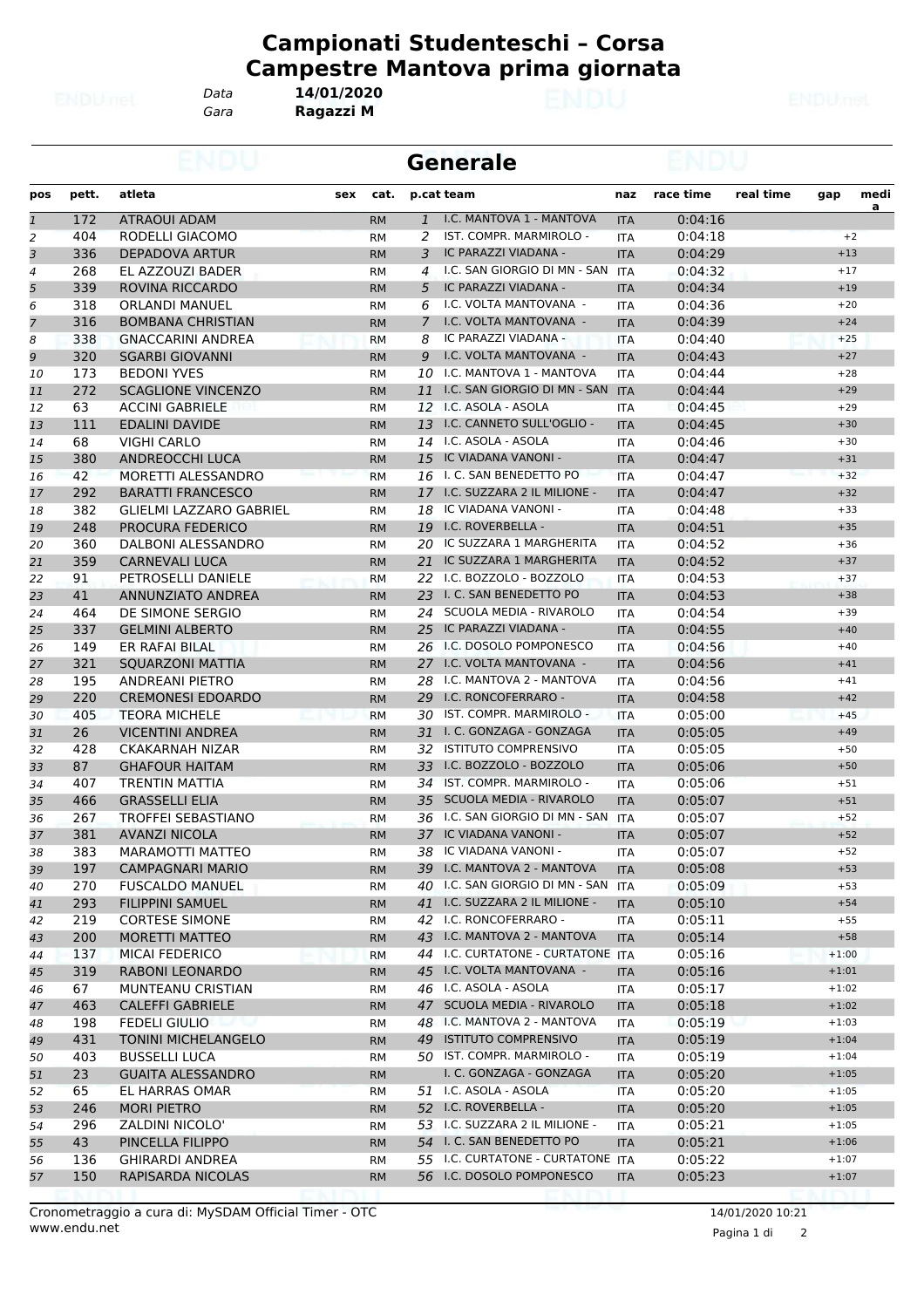*Gara* **Ragazzi M** *Data* **14/01/2020**

|                |       |                                |           |              | <b>Generale</b>                   |            |           |           |         |                  |
|----------------|-------|--------------------------------|-----------|--------------|-----------------------------------|------------|-----------|-----------|---------|------------------|
| pos            | pett. | atleta<br>sex                  | cat.      | p.cat team   |                                   | naz        | race time | real time | gap     | medi<br><u>a</u> |
| $\overline{1}$ | 172   | <b>ATRAOUI ADAM</b>            | <b>RM</b> | $\mathbf{1}$ | I.C. MANTOVA 1 - MANTOVA          | <b>ITA</b> | 0:04:16   |           |         |                  |
| 2              | 404   | RODELLI GIACOMO                | <b>RM</b> | 2            | IST. COMPR. MARMIROLO -           | <b>ITA</b> | 0:04:18   |           | $+2$    |                  |
| 3              | 336   | DEPADOVA ARTUR                 | <b>RM</b> | 3            | IC PARAZZI VIADANA -              | <b>ITA</b> | 0:04:29   |           | $+13$   |                  |
| 4              | 268   | EL AZZOUZI BADER               | RM        | 4            | I.C. SAN GIORGIO DI MN - SAN      | <b>ITA</b> | 0:04:32   |           | $+17$   |                  |
| 5              | 339   | ROVINA RICCARDO                | <b>RM</b> | 5            | IC PARAZZI VIADANA -              | <b>ITA</b> | 0:04:34   |           | $+19$   |                  |
| 6              | 318   | <b>ORLANDI MANUEL</b>          | RM        | 6            | I.C. VOLTA MANTOVANA -            | ITA        | 0:04:36   |           | $+20$   |                  |
| $\overline{7}$ | 316   | <b>BOMBANA CHRISTIAN</b>       | <b>RM</b> | 7            | I.C. VOLTA MANTOVANA -            | <b>ITA</b> | 0:04:39   |           | $+24$   |                  |
| 8              | 338   | <b>GNACCARINI ANDREA</b>       | <b>RM</b> | 8            | IC PARAZZI VIADANA -              | <b>ITA</b> | 0:04:40   |           | $+25$   |                  |
| 9              | 320   | <b>SGARBI GIOVANNI</b>         | <b>RM</b> | 9            | I.C. VOLTA MANTOVANA -            | <b>ITA</b> | 0:04:43   |           | $+27$   |                  |
| 10             | 173   | <b>BEDONI YVES</b>             | <b>RM</b> | 10           | I.C. MANTOVA 1 - MANTOVA          | <b>ITA</b> | 0:04:44   |           | $+28$   |                  |
| 11             | 272   | <b>SCAGLIONE VINCENZO</b>      | <b>RM</b> |              | 11 I.C. SAN GIORGIO DI MN - SAN   | <b>ITA</b> | 0:04:44   |           | $+29$   |                  |
| 12             | 63    | <b>ACCINI GABRIELE</b>         | RM        |              | 12 I.C. ASOLA - ASOLA             | ITA        | 0:04:45   |           | $+29$   |                  |
| 13             | 111   | <b>EDALINI DAVIDE</b>          | <b>RM</b> | 13           | I.C. CANNETO SULL'OGLIO -         | <b>ITA</b> | 0:04:45   |           | $+30$   |                  |
| 14             | 68    | <b>VIGHI CARLO</b>             | RM        |              | 14 I.C. ASOLA - ASOLA             | <b>ITA</b> | 0:04:46   |           | $+30$   |                  |
| 15             | 380   | <b>ANDREOCCHI LUCA</b>         | <b>RM</b> | 15           | IC VIADANA VANONI -               | <b>ITA</b> | 0:04:47   |           | $+31$   |                  |
| 16             | 42    | MORETTI ALESSANDRO             | <b>RM</b> |              | 16 I. C. SAN BENEDETTO PO         | <b>ITA</b> | 0:04:47   |           | $+32$   |                  |
| 17             | 292   | <b>BARATTI FRANCESCO</b>       | <b>RM</b> |              | 17 I.C. SUZZARA 2 IL MILIONE -    | <b>ITA</b> | 0:04:47   |           | $+32$   |                  |
| 18             | 382   | <b>GLIELMI LAZZARO GABRIEL</b> | RM        | 18           | IC VIADANA VANONI -               | ITA        | 0:04:48   |           | $+33$   |                  |
| 19             | 248   | <b>PROCURA FEDERICO</b>        | <b>RM</b> | 19           | I.C. ROVERBELLA -                 | <b>ITA</b> | 0:04:51   |           | $+35$   |                  |
| 20             | 360   | DALBONI ALESSANDRO             | <b>RM</b> | 20           | IC SUZZARA 1 MARGHERITA           | <b>ITA</b> | 0:04:52   |           | $+36$   |                  |
| 21             | 359   | <b>CARNEVALI LUCA</b>          | <b>RM</b> | 21           | IC SUZZARA 1 MARGHERITA           | <b>ITA</b> | 0:04:52   |           | $+37$   |                  |
| 22             | 91    | PETROSELLI DANIELE             | <b>RM</b> |              | 22 I.C. BOZZOLO - BOZZOLO         | <b>ITA</b> | 0:04:53   |           | $+37$   |                  |
| 23             | 41    | ANNUNZIATO ANDREA              | <b>RM</b> |              | 23 I. C. SAN BENEDETTO PO         | <b>ITA</b> | 0:04:53   |           | $+38$   |                  |
| 24             | 464   | DE SIMONE SERGIO               | RM        | 24           | SCUOLA MEDIA - RIVAROLO           | ITA        | 0:04:54   |           | $+39$   |                  |
| 25             | 337   | <b>GELMINI ALBERTO</b>         | <b>RM</b> | 25           | IC PARAZZI VIADANA -              | <b>ITA</b> | 0:04:55   |           | $+40$   |                  |
| 26             | 149   | ER RAFAI BILAL                 | RM        | 26           | I.C. DOSOLO POMPONESCO            | <b>ITA</b> | 0:04:56   |           | $+40$   |                  |
| 27             | 321   | <b>SQUARZONI MATTIA</b>        | <b>RM</b> |              | 27 I.C. VOLTA MANTOVANA -         | <b>ITA</b> | 0:04:56   |           | $+41$   |                  |
| 28             | 195   | <b>ANDREANI PIETRO</b>         | <b>RM</b> | 28           | I.C. MANTOVA 2 - MANTOVA          | <b>ITA</b> | 0:04:56   |           | $+41$   |                  |
| 29             | 220   | <b>CREMONESI EDOARDO</b>       | <b>RM</b> | 29           | I.C. RONCOFERRARO -               | <b>ITA</b> | 0:04:58   |           | $+42$   |                  |
| 30             | 405   | <b>TEORA MICHELE</b>           | <b>RM</b> | 30           | IST. COMPR. MARMIROLO -           | <b>ITA</b> | 0:05:00   |           | $+45$   |                  |
| 31             | 26    | <b>VICENTINI ANDREA</b>        | <b>RM</b> | 31           | I. C. GONZAGA - GONZAGA           | <b>ITA</b> | 0:05:05   |           | $+49$   |                  |
| 32             | 428   | <b>CKAKARNAH NIZAR</b>         | RM        | 32           | <b>ISTITUTO COMPRENSIVO</b>       | <b>ITA</b> | 0:05:05   |           | $+50$   |                  |
| 33             | 87    | <b>GHAFOUR HAITAM</b>          | <b>RM</b> | 33           | I.C. BOZZOLO - BOZZOLO            | <b>ITA</b> | 0:05:06   |           | $+50$   |                  |
| 34             | 407   | <b>TRENTIN MATTIA</b>          | <b>RM</b> | 34           | IST. COMPR. MARMIROLO -           | <b>ITA</b> | 0:05:06   |           | $+51$   |                  |
| 35             | 466   | <b>GRASSELLI ELIA</b>          | <b>RM</b> | 35           | SCUOLA MEDIA - RIVAROLO           | <b>ITA</b> | 0:05:07   |           | $+51$   |                  |
| 36             | 267   | <b>TROFFEI SEBASTIANO</b>      | RM        | 36           | I.C. SAN GIORGIO DI MN - SAN      | <b>ITA</b> | 0:05:07   |           | $+52$   |                  |
| 37             | 381   | <b>AVANZI NICOLA</b>           | <b>RM</b> |              | 37 IC VIADANA VANONI -            | <b>ITA</b> | 0:05:07   |           | $+52$   |                  |
| 38             | 383   | MARAMOTTI MATTEO               | RM        |              | 38 IC VIADANA VANONI -            | ITA        | 0:05:07   |           | $+52$   |                  |
| 39             | 197   | <b>CAMPAGNARI MARIO</b>        | <b>RM</b> |              | 39 I.C. MANTOVA 2 - MANTOVA       | <b>ITA</b> | 0:05:08   |           | $+53$   |                  |
| 40             | 270   | <b>FUSCALDO MANUEL</b>         | RM        |              | 40 I.C. SAN GIORGIO DI MN - SAN   | <b>ITA</b> | 0:05:09   |           | $+53$   |                  |
| 41             | 293   | <b>FILIPPINI SAMUEL</b>        | RM        |              | 41 I.C. SUZZARA 2 IL MILIONE -    | <b>ITA</b> | 0:05:10   |           | $+54$   |                  |
| 42             | 219   | <b>CORTESE SIMONE</b>          | RМ        |              | 42 I.C. RONCOFERRARO -            | ITA        | 0:05:11   |           | $+55$   |                  |
| 43             | 200   | <b>MORETTI MATTEO</b>          | <b>RM</b> | 43           | I.C. MANTOVA 2 - MANTOVA          | <b>ITA</b> | 0:05:14   |           | $+58$   |                  |
| 44             | 137   | <b>MICAI FEDERICO</b>          | RM        |              | 44 I.C. CURTATONE - CURTATONE ITA |            | 0:05:16   |           | $+1:00$ |                  |
| 45             | 319   | RABONI LEONARDO                | <b>RM</b> |              | 45 I.C. VOLTA MANTOVANA -         | <b>ITA</b> | 0:05:16   |           | $+1:01$ |                  |
| 46             | 67    | MUNTEANU CRISTIAN              | RМ        |              | 46 I.C. ASOLA - ASOLA             | ITA        | 0:05:17   |           | $+1:02$ |                  |
| 47             | 463   | <b>CALEFFI GABRIELE</b>        | <b>RM</b> |              | 47 SCUOLA MEDIA - RIVAROLO        | <b>ITA</b> | 0:05:18   |           | $+1:02$ |                  |
| 48             | 198   | <b>FEDELI GIULIO</b>           | RM        |              | 48 I.C. MANTOVA 2 - MANTOVA       | ITA        | 0:05:19   |           | $+1:03$ |                  |
| 49             | 431   | <b>TONINI MICHELANGELO</b>     | <b>RM</b> | 49           | <b>ISTITUTO COMPRENSIVO</b>       | <b>ITA</b> | 0:05:19   |           | $+1:04$ |                  |
| 50             | 403   | <b>BUSSELLI LUCA</b>           | RМ        |              | 50 IST. COMPR. MARMIROLO -        | ITA        | 0:05:19   |           | $+1:04$ |                  |
| 51             | 23    | <b>GUAITA ALESSANDRO</b>       |           |              | I. C. GONZAGA - GONZAGA           |            | 0:05:20   |           | $+1:05$ |                  |
|                |       |                                | <b>RM</b> |              | 51 I.C. ASOLA - ASOLA             | <b>ITA</b> |           |           | $+1:05$ |                  |
| 52             | 65    | EL HARRAS OMAR                 | RМ        |              |                                   | ITA        | 0:05:20   |           |         |                  |
| 53             | 246   | <b>MORI PIETRO</b>             | RM        |              | 52 I.C. ROVERBELLA -              | <b>ITA</b> | 0:05:20   |           | $+1:05$ |                  |
| 54             | 296   | <b>ZALDINI NICOLO'</b>         | RM        |              | 53 I.C. SUZZARA 2 IL MILIONE -    | ITA        | 0:05:21   |           | $+1:05$ |                  |
| 55             | 43    | PINCELLA FILIPPO               | <b>RM</b> |              | 54 I. C. SAN BENEDETTO PO         | <b>ITA</b> | 0:05:21   |           | $+1:06$ |                  |
| 56             | 136   | <b>GHIRARDI ANDREA</b>         | RМ        |              | 55 I.C. CURTATONE - CURTATONE ITA |            | 0:05:22   |           | $+1:07$ |                  |
| 57             | 150   | RAPISARDA NICOLAS              | <b>RM</b> |              | 56 I.C. DOSOLO POMPONESCO         | <b>ITA</b> | 0:05:23   |           | $+1:07$ |                  |

Pagina 1 di 2